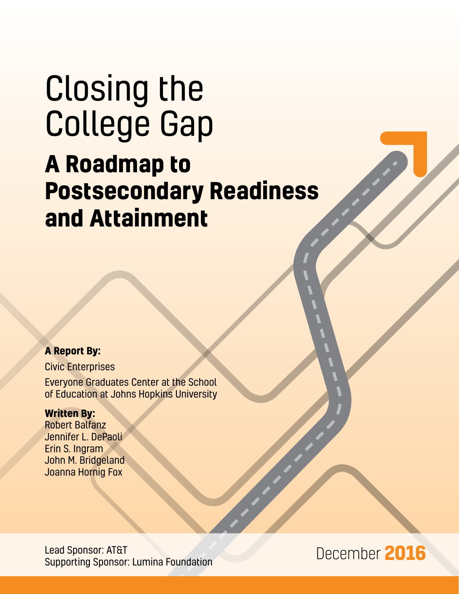# Closing the College Gap **A Roadmap to Postsecondary Readiness and Attainment**

## **A Report By:**

Civic Enterprises

Everyone Graduates Center at the School of Education at Johns Hopkins University

## **Written By:**

Robert Balfanz Jennifer L. DePaoli Erin S. Ingram John M. Bridgeland Joanna Hornig Fox

December **2016** Lead Sponsor: AT&T Supporting Sponsor: Lumina Foundation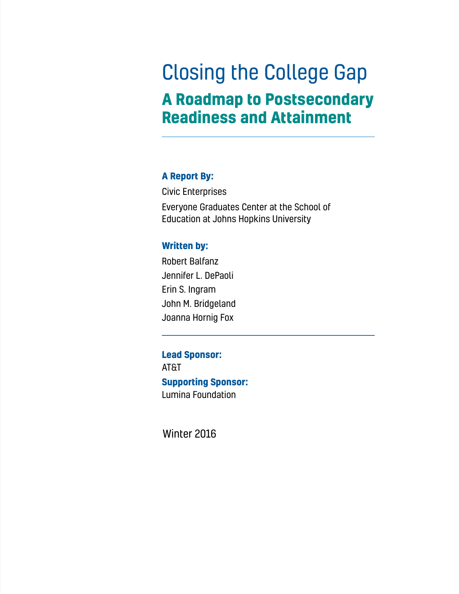# Closing the College Gap **A Roadmap to Postsecondary Readiness and Attainment**

## **A Report By:**

Civic Enterprises Everyone Graduates Center at the School of Education at Johns Hopkins University

## **Written by:**

Robert Balfanz Jennifer L. DePaoli Erin S. Ingram John M. Bridgeland Joanna Hornig Fox

**Lead Sponsor:**  AT&T **Supporting Sponsor:**  Lumina Foundation

Winter 2016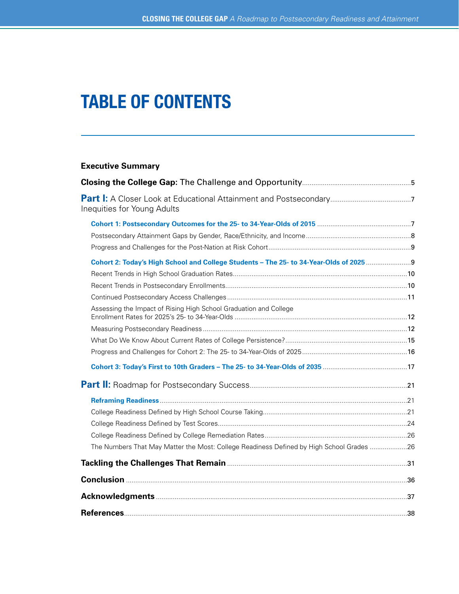# **TABLE OF CONTENTS**

## **Executive Summary**

| Inequities for Young Adults                                                              |  |
|------------------------------------------------------------------------------------------|--|
|                                                                                          |  |
|                                                                                          |  |
|                                                                                          |  |
| Cohort 2: Today's High School and College Students - The 25- to 34-Year-Olds of 2025     |  |
|                                                                                          |  |
|                                                                                          |  |
|                                                                                          |  |
| Assessing the Impact of Rising High School Graduation and College                        |  |
|                                                                                          |  |
|                                                                                          |  |
|                                                                                          |  |
|                                                                                          |  |
|                                                                                          |  |
|                                                                                          |  |
|                                                                                          |  |
|                                                                                          |  |
|                                                                                          |  |
| The Numbers That May Matter the Most: College Readiness Defined by High School Grades 26 |  |
|                                                                                          |  |
|                                                                                          |  |
|                                                                                          |  |
|                                                                                          |  |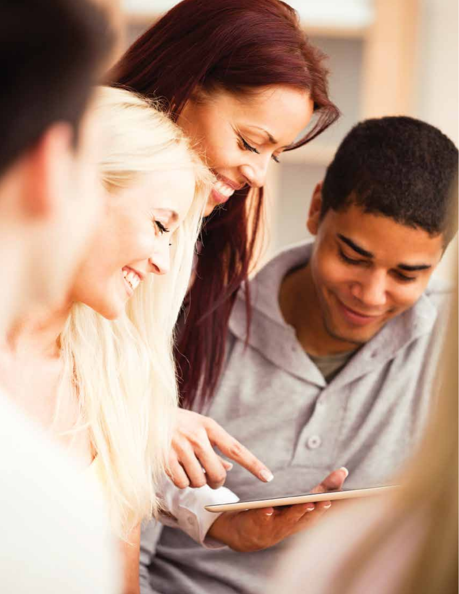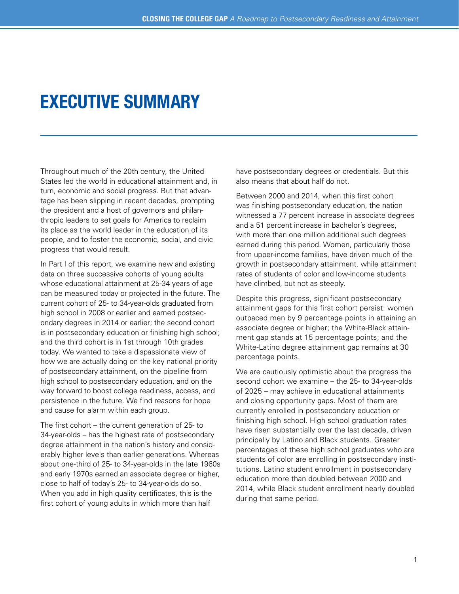## **EXECUTIVE SUMMARY**

Throughout much of the 20th century, the United States led the world in educational attainment and, in turn, economic and social progress. But that advantage has been slipping in recent decades, prompting the president and a host of governors and philanthropic leaders to set goals for America to reclaim its place as the world leader in the education of its people, and to foster the economic, social, and civic progress that would result.

In Part I of this report, we examine new and existing data on three successive cohorts of young adults whose educational attainment at 25-34 years of age can be measured today or projected in the future. The current cohort of 25- to 34-year-olds graduated from high school in 2008 or earlier and earned postsecondary degrees in 2014 or earlier; the second cohort is in postsecondary education or finishing high school; and the third cohort is in 1st through 10th grades today. We wanted to take a dispassionate view of how we are actually doing on the key national priority of postsecondary attainment, on the pipeline from high school to postsecondary education, and on the way forward to boost college readiness, access, and persistence in the future. We find reasons for hope and cause for alarm within each group.

The first cohort – the current generation of 25- to 34-year-olds – has the highest rate of postsecondary degree attainment in the nation's history and considerably higher levels than earlier generations. Whereas about one-third of 25- to 34-year-olds in the late 1960s and early 1970s earned an associate degree or higher, close to half of today's 25- to 34-year-olds do so. When you add in high quality certificates, this is the first cohort of young adults in which more than half

have postsecondary degrees or credentials. But this also means that about half do not.

Between 2000 and 2014, when this first cohort was finishing postsecondary education, the nation witnessed a 77 percent increase in associate degrees and a 51 percent increase in bachelor's degrees, with more than one million additional such degrees earned during this period. Women, particularly those from upper-income families, have driven much of the growth in postsecondary attainment, while attainment rates of students of color and low-income students have climbed, but not as steeply.

Despite this progress, significant postsecondary attainment gaps for this first cohort persist: women outpaced men by 9 percentage points in attaining an associate degree or higher; the White-Black attainment gap stands at 15 percentage points; and the White-Latino degree attainment gap remains at 30 percentage points.

We are cautiously optimistic about the progress the second cohort we examine – the 25- to 34-year-olds of 2025 – may achieve in educational attainments and closing opportunity gaps. Most of them are currently enrolled in postsecondary education or finishing high school. High school graduation rates have risen substantially over the last decade, driven principally by Latino and Black students. Greater percentages of these high school graduates who are students of color are enrolling in postsecondary institutions. Latino student enrollment in postsecondary education more than doubled between 2000 and 2014, while Black student enrollment nearly doubled during that same period.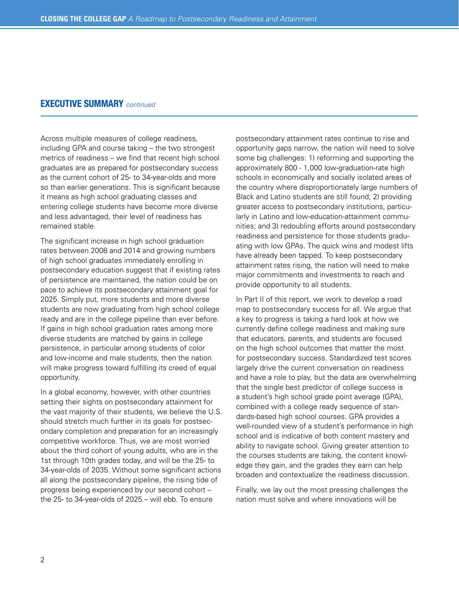### **EXECUTIVE SUMMARY** *continued*

Across multiple measures of college readiness, including GPA and course taking – the two strongest metrics of readiness – we find that recent high school graduates are as prepared for postsecondary success as the current cohort of 25- to 34-year-olds and more so than earlier generations. This is significant because it means as high school graduating classes and entering college students have become more diverse and less advantaged, their level of readiness has remained stable.

The significant increase in high school graduation rates between 2008 and 2014 and growing numbers of high school graduates immediately enrolling in postsecondary education suggest that if existing rates of persistence are maintained, the nation could be on pace to achieve its postsecondary attainment goal for 2025. Simply put, more students and more diverse students are now graduating from high school college ready and are in the college pipeline than ever before. If gains in high school graduation rates among more diverse students are matched by gains in college persistence, in particular among students of color and low-income and male students, then the nation will make progress toward fulfilling its creed of equal opportunity.

In a global economy, however, with other countries setting their sights on postsecondary attainment for the vast majority of their students, we believe the U.S. should stretch much further in its goals for postsecondary completion and preparation for an increasingly competitive workforce. Thus, we are most worried about the third cohort of young adults, who are in the 1st through 10th grades today, and will be the 25- to 34-year-olds of 2035. Without some significant actions all along the postsecondary pipeline, the rising tide of progress being experienced by our second cohort – the 25- to 34-year-olds of 2025 – will ebb. To ensure

postsecondary attainment rates continue to rise and opportunity gaps narrow, the nation will need to solve some big challenges: 1) reforming and supporting the approximately 800 - 1,000 low-graduation-rate high schools in economically and socially isolated areas of the country where disproportionately large numbers of Black and Latino students are still found; 2) providing greater access to postsecondary institutions, particularly in Latino and low-education-attainment communities; and 3) redoubling efforts around postsecondary readiness and persistence for those students graduating with low GPAs. The quick wins and modest lifts have already been tapped. To keep postsecondary attainment rates rising, the nation will need to make major commitments and investments to reach and provide opportunity to all students.

In Part II of this report, we work to develop a road map to postsecondary success for all. We argue that a key to progress is taking a hard look at how we currently define college readiness and making sure that educators, parents, and students are focused on the high school outcomes that matter the most for postsecondary success. Standardized test scores largely drive the current conversation on readiness and have a role to play, but the data are overwhelming that the single best predictor of college success is a student's high school grade point average (GPA), combined with a college ready sequence of standards-based high school courses. GPA provides a well-rounded view of a student's performance in high school and is indicative of both content mastery and ability to navigate school. Giving greater attention to the courses students are taking, the content knowledge they gain, and the grades they earn can help broaden and contextualize the readiness discussion.

Finally, we lay out the most pressing challenges the nation must solve and where innovations will be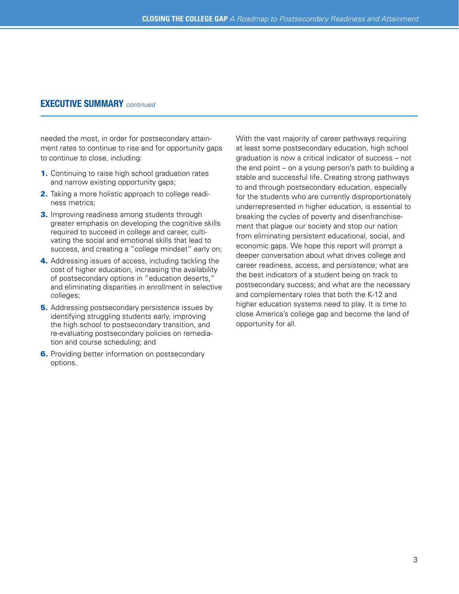## **EXECUTIVE SUMMARY** *continued*

needed the most, in order for postsecondary attainment rates to continue to rise and for opportunity gaps to continue to close, including:

- **1.** Continuing to raise high school graduation rates and narrow existing opportunity gaps;
- 2. Taking a more holistic approach to college readiness metrics;
- **3.** Improving readiness among students through greater emphasis on developing the cognitive skills required to succeed in college and career, cultivating the social and emotional skills that lead to success, and creating a "college mindset" early on;
- 4. Addressing issues of access, including tackling the cost of higher education, increasing the availability of postsecondary options in "education deserts," and eliminating disparities in enrollment in selective colleges;
- **5.** Addressing postsecondary persistence issues by identifying struggling students early, improving the high school to postsecondary transition, and re-evaluating postsecondary policies on remediation and course scheduling; and
- **6.** Providing better information on postsecondary options.

With the vast majority of career pathways requiring at least some postsecondary education, high school graduation is now a critical indicator of success – not the end point – on a young person's path to building a stable and successful life. Creating strong pathways to and through postsecondary education, especially for the students who are currently disproportionately underrepresented in higher education, is essential to breaking the cycles of poverty and disenfranchisement that plague our society and stop our nation from eliminating persistent educational, social, and economic gaps. We hope this report will prompt a deeper conversation about what drives college and career readiness, access, and persistence; what are the best indicators of a student being on track to postsecondary success; and what are the necessary and complementary roles that both the K-12 and higher education systems need to play. It is time to close America's college gap and become the land of opportunity for all.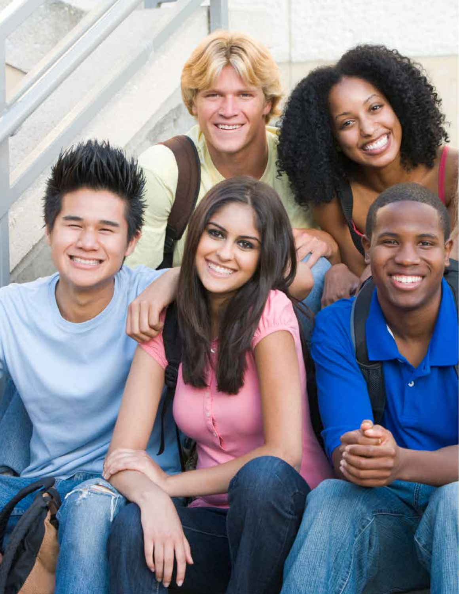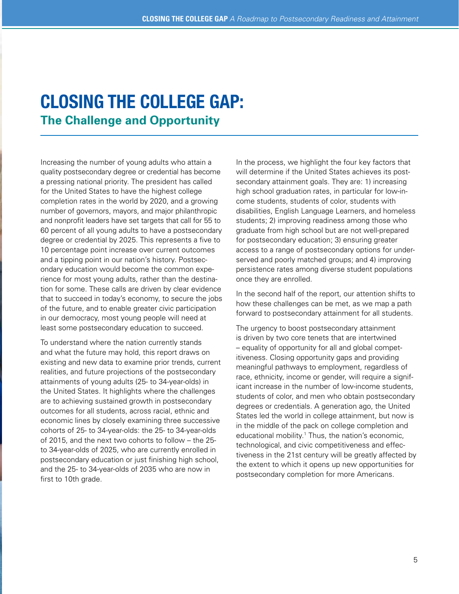## **CLOSING THE COLLEGE GAP: The Challenge and Opportunity**

Increasing the number of young adults who attain a quality postsecondary degree or credential has become a pressing national priority. The president has called for the United States to have the highest college completion rates in the world by 2020, and a growing number of governors, mayors, and major philanthropic and nonprofit leaders have set targets that call for 55 to 60 percent of all young adults to have a postsecondary degree or credential by 2025. This represents a five to 10 percentage point increase over current outcomes and a tipping point in our nation's history. Postsecondary education would become the common experience for most young adults, rather than the destination for some. These calls are driven by clear evidence that to succeed in today's economy, to secure the jobs of the future, and to enable greater civic participation in our democracy, most young people will need at least some postsecondary education to succeed.

To understand where the nation currently stands and what the future may hold, this report draws on existing and new data to examine prior trends, current realities, and future projections of the postsecondary attainments of young adults (25- to 34-year-olds) in the United States. It highlights where the challenges are to achieving sustained growth in postsecondary outcomes for all students, across racial, ethnic and economic lines by closely examining three successive cohorts of 25- to 34-year-olds: the 25- to 34-year-olds of 2015, and the next two cohorts to follow – the 25 to 34-year-olds of 2025, who are currently enrolled in postsecondary education or just finishing high school, and the 25- to 34-year-olds of 2035 who are now in first to 10th grade.

In the process, we highlight the four key factors that will determine if the United States achieves its postsecondary attainment goals. They are: 1) increasing high school graduation rates, in particular for low-income students, students of color, students with disabilities, English Language Learners, and homeless students; 2) improving readiness among those who graduate from high school but are not well-prepared for postsecondary education; 3) ensuring greater access to a range of postsecondary options for underserved and poorly matched groups; and 4) improving persistence rates among diverse student populations once they are enrolled.

In the second half of the report, our attention shifts to how these challenges can be met, as we map a path forward to postsecondary attainment for all students.

The urgency to boost postsecondary attainment is driven by two core tenets that are intertwined – equality of opportunity for all and global competitiveness. Closing opportunity gaps and providing meaningful pathways to employment, regardless of race, ethnicity, income or gender, will require a significant increase in the number of low-income students, students of color, and men who obtain postsecondary degrees or credentials. A generation ago, the United States led the world in college attainment, but now is in the middle of the pack on college completion and educational mobility.<sup>1</sup> Thus, the nation's economic, technological, and civic competitiveness and effectiveness in the 21st century will be greatly affected by the extent to which it opens up new opportunities for postsecondary completion for more Americans.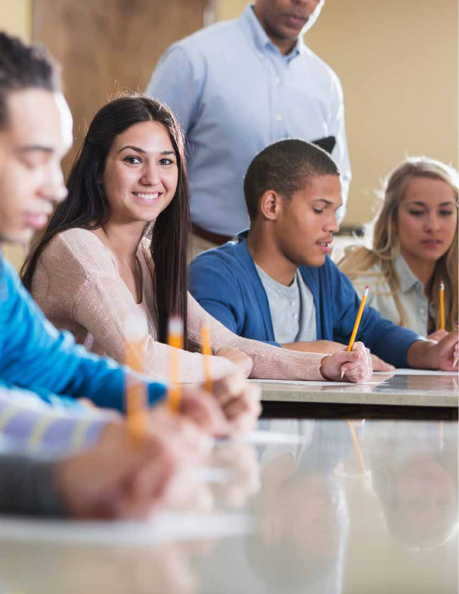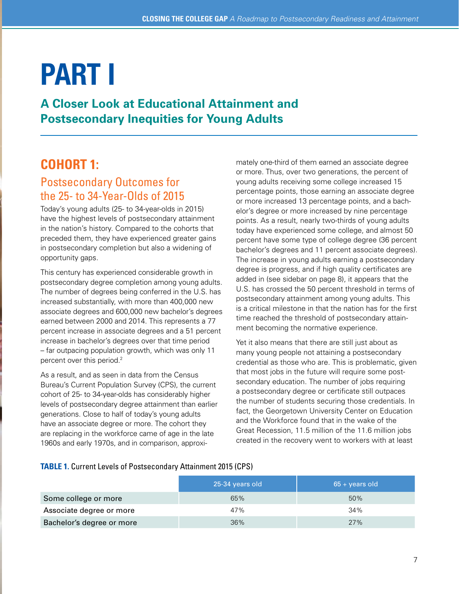# **PART I**

## **A Closer Look at Educational Attainment and Postsecondary Inequities for Young Adults**

## **COHORT 1:**

## Postsecondary Outcomes for the 25- to 34-Year-Olds of 2015

Today's young adults (25- to 34-year-olds in 2015) have the highest levels of postsecondary attainment in the nation's history. Compared to the cohorts that preceded them, they have experienced greater gains in postsecondary completion but also a widening of opportunity gaps.

This century has experienced considerable growth in postsecondary degree completion among young adults. The number of degrees being conferred in the U.S. has increased substantially, with more than 400,000 new associate degrees and 600,000 new bachelor's degrees earned between 2000 and 2014. This represents a 77 percent increase in associate degrees and a 51 percent increase in bachelor's degrees over that time period – far outpacing population growth, which was only 11 percent over this period.<sup>2</sup>

As a result, and as seen in data from the Census Bureau's Current Population Survey (CPS), the current cohort of 25- to 34-year-olds has considerably higher levels of postsecondary degree attainment than earlier generations. Close to half of today's young adults have an associate degree or more. The cohort they are replacing in the workforce came of age in the late 1960s and early 1970s, and in comparison, approximately one-third of them earned an associate degree or more. Thus, over two generations, the percent of young adults receiving some college increased 15 percentage points, those earning an associate degree or more increased 13 percentage points, and a bachelor's degree or more increased by nine percentage points. As a result, nearly two-thirds of young adults today have experienced some college, and almost 50 percent have some type of college degree (36 percent bachelor's degrees and 11 percent associate degrees). The increase in young adults earning a postsecondary degree is progress, and if high quality certificates are added in (see sidebar on page 8), it appears that the U.S. has crossed the 50 percent threshold in terms of postsecondary attainment among young adults. This is a critical milestone in that the nation has for the first time reached the threshold of postsecondary attainment becoming the normative experience.

Yet it also means that there are still just about as many young people not attaining a postsecondary credential as those who are. This is problematic, given that most jobs in the future will require some postsecondary education. The number of jobs requiring a postsecondary degree or certificate still outpaces the number of students securing those credentials. In fact, the Georgetown University Center on Education and the Workforce found that in the wake of the Great Recession, 11.5 million of the 11.6 million jobs created in the recovery went to workers with at least

### **TABLE 1.** Current Levels of Postsecondary Attainment 2015 (CPS)

|                           | 25-34 years old | $65 + \text{years}$ old |
|---------------------------|-----------------|-------------------------|
| Some college or more      | 65%             | 50%                     |
| Associate degree or more  | 47%             | 34%                     |
| Bachelor's degree or more | 36%             | 27%                     |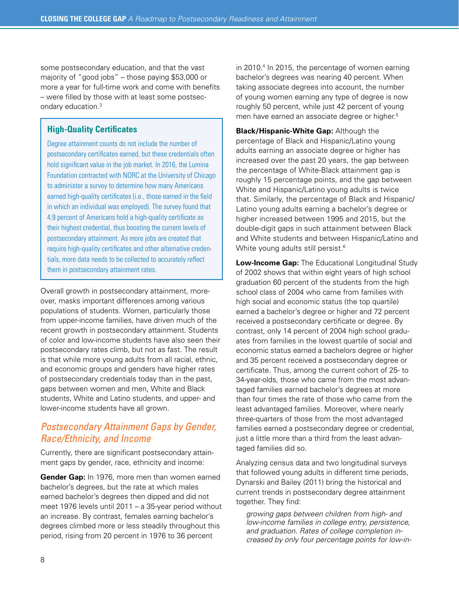some postsecondary education, and that the vast majority of "good jobs" – those paying \$53,000 or more a year for full-time work and come with benefits – were filled by those with at least some postsecondary education.3

## **High-Quality Certificates**

Degree attainment counts do not include the number of postsecondary certificates earned, but these credentials often hold significant value in the job market. In 2016, the Lumina Foundation contracted with NORC at the University of Chicago to administer a survey to determine how many Americans earned high-quality certificates (i.e., those earned in the field in which an individual was employed). The survey found that 4.9 percent of Americans hold a high-quality certificate as their highest credential, thus boosting the current levels of postsecondary attainment. As more jobs are created that require high-quality certificates and other alternative credentials, more data needs to be collected to accurately reflect them in postsecondary attainment rates.

Overall growth in postsecondary attainment, moreover, masks important differences among various populations of students. Women, particularly those from upper-income families, have driven much of the recent growth in postsecondary attainment. Students of color and low-income students have also seen their postsecondary rates climb, but not as fast. The result is that while more young adults from all racial, ethnic, and economic groups and genders have higher rates of postsecondary credentials today than in the past, gaps between women and men, White and Black students, White and Latino students, and upper- and lower-income students have all grown.

## *Postsecondary Attainment Gaps by Gender, Race/Ethnicity, and Income*

Currently, there are significant postsecondary attainment gaps by gender, race, ethnicity and income:

**Gender Gap:** In 1976, more men than women earned bachelor's degrees, but the rate at which males earned bachelor's degrees then dipped and did not meet 1976 levels until 2011 – a 35-year period without an increase. By contrast, females earning bachelor's degrees climbed more or less steadily throughout this period, rising from 20 percent in 1976 to 36 percent

in 2010.4 In 2015, the percentage of women earning bachelor's degrees was nearing 40 percent. When taking associate degrees into account, the number of young women earning any type of degree is now roughly 50 percent, while just 42 percent of young men have earned an associate degree or higher.<sup>5</sup>

**Black/Hispanic-White Gap:** Although the percentage of Black and Hispanic/Latino young adults earning an associate degree or higher has increased over the past 20 years, the gap between the percentage of White-Black attainment gap is roughly 15 percentage points, and the gap between White and Hispanic/Latino young adults is twice that. Similarly, the percentage of Black and Hispanic/ Latino young adults earning a bachelor's degree or higher increased between 1995 and 2015, but the double-digit gaps in such attainment between Black and White students and between Hispanic/Latino and White young adults still persist.<sup>6</sup>

**Low-Income Gap:** The Educational Longitudinal Study of 2002 shows that within eight years of high school graduation 60 percent of the students from the high school class of 2004 who came from families with high social and economic status (the top quartile) earned a bachelor's degree or higher and 72 percent received a postsecondary certificate or degree. By contrast, only 14 percent of 2004 high school graduates from families in the lowest quartile of social and economic status earned a bachelors degree or higher and 35 percent received a postsecondary degree or certificate. Thus, among the current cohort of 25- to 34-year-olds, those who came from the most advantaged families earned bachelor's degrees at more than four times the rate of those who came from the least advantaged families. Moreover, where nearly three-quarters of those from the most advantaged families earned a postsecondary degree or credential, just a little more than a third from the least advantaged families did so.

Analyzing census data and two longitudinal surveys that followed young adults in different time periods, Dynarski and Bailey (2011) bring the historical and current trends in postsecondary degree attainment together. They find:

*growing gaps between children from high- and low-income families in college entry, persistence, and graduation. Rates of college completion increased by only four percentage points for low-in-*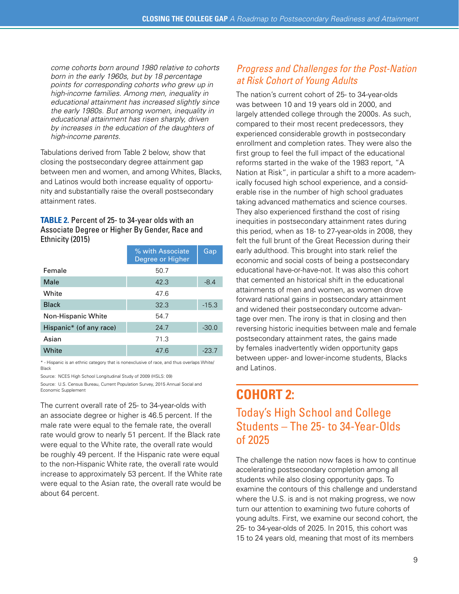*come cohorts born around 1980 relative to cohorts born in the early 1960s, but by 18 percentage points for corresponding cohorts who grew up in high-income families. Among men, inequality in educational attainment has increased slightly since the early 1980s. But among women, inequality in educational attainment has risen sharply, driven by increases in the education of the daughters of high-income parents.*

Tabulations derived from Table 2 below, show that closing the postsecondary degree attainment gap between men and women, and among Whites, Blacks, and Latinos would both increase equality of opportunity and substantially raise the overall postsecondary attainment rates.

### **TABLE 2.** Percent of 25- to 34-year olds with an Associate Degree or Higher By Gender, Race and Ethnicity (2015)

|                         | % with Associate<br>Degree or Higher | Gap     |
|-------------------------|--------------------------------------|---------|
| Female                  | 50.7                                 |         |
| Male                    | 42.3                                 | $-8.4$  |
| White                   | 47.6                                 |         |
| <b>Black</b>            | 32.3                                 | $-15.3$ |
| Non-Hispanic White      | 54.7                                 |         |
| Hispanic* (of any race) | 24.7                                 | $-30.0$ |
| Asian                   | 71.3                                 |         |
| White                   | 47.6                                 | $-23.7$ |
|                         |                                      |         |

\* - Hispanic is an ethnic category that is nonexclusive of race, and thus overlaps White/ Black

Source: NCES High School Longitudinal Study of 2009 (HSLS: 09)

Source: U.S. Census Bureau, Current Population Survey, 2015 Annual Social and Economic Supplement

The current overall rate of 25- to 34-year-olds with an associate degree or higher is 46.5 percent. If the male rate were equal to the female rate, the overall rate would grow to nearly 51 percent. If the Black rate were equal to the White rate, the overall rate would be roughly 49 percent. If the Hispanic rate were equal to the non-Hispanic White rate, the overall rate would increase to approximately 53 percent. If the White rate were equal to the Asian rate, the overall rate would be about 64 percent.

## *Progress and Challenges for the Post-Nation at Risk Cohort of Young Adults*

The nation's current cohort of 25- to 34-year-olds was between 10 and 19 years old in 2000, and largely attended college through the 2000s. As such, compared to their most recent predecessors, they experienced considerable growth in postsecondary enrollment and completion rates. They were also the first group to feel the full impact of the educational reforms started in the wake of the 1983 report, "A Nation at Risk", in particular a shift to a more academically focused high school experience, and a considerable rise in the number of high school graduates taking advanced mathematics and science courses. They also experienced firsthand the cost of rising inequities in postsecondary attainment rates during this period, when as 18- to 27-year-olds in 2008, they felt the full brunt of the Great Recession during their early adulthood. This brought into stark relief the economic and social costs of being a postsecondary educational have-or-have-not. It was also this cohort that cemented an historical shift in the educational attainments of men and women, as women drove forward national gains in postsecondary attainment and widened their postsecondary outcome advantage over men. The irony is that in closing and then reversing historic inequities between male and female postsecondary attainment rates, the gains made by females inadvertently widen opportunity gaps between upper- and lower-income students, Blacks and Latinos.

## **COHORT 2:**  Today's High School and College Students – The 25- to 34-Year-Olds of 2025

The challenge the nation now faces is how to continue accelerating postsecondary completion among all students while also closing opportunity gaps. To examine the contours of this challenge and understand where the U.S. is and is not making progress, we now turn our attention to examining two future cohorts of young adults. First, we examine our second cohort, the 25- to 34-year-olds of 2025. In 2015, this cohort was 15 to 24 years old, meaning that most of its members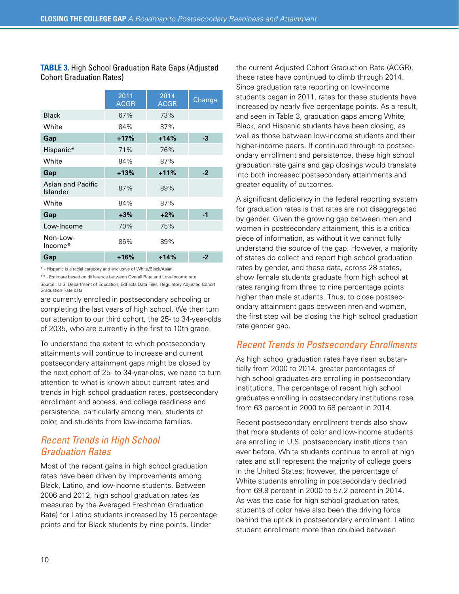### **TABLE 3.** High School Graduation Rate Gaps (Adjusted Cohort Graduation Rates)

|                                      | 2011<br><b>ACGR</b> | 2014<br><b>ACGR</b> | Change |
|--------------------------------------|---------------------|---------------------|--------|
| <b>Black</b>                         | 67%                 | 73%                 |        |
| White                                | 84%                 | 87%                 |        |
| Gap                                  | $+17%$              | $+14%$              | -3     |
| Hispanic*                            | 71%                 | 76%                 |        |
| White                                | 84%                 | 87%                 |        |
| Gap                                  | $+13%$              | $+11%$              | $-2$   |
| <b>Asian and Pacific</b><br>Islander | 87%                 | 89%                 |        |
| White                                | 84%                 | 87%                 |        |
| Gap                                  | $+3%$               | $+2\%$              | -1     |
| Low-Income                           | 70%                 | 75%                 |        |
| Non-Low-<br>Income*                  | 86%                 | 89%                 |        |
| Gap                                  | $+16%$              | $+14%$              | -2     |

\* - Hispanic is a racial category and exclusive of White/Black/Asian

\*\* - Estimate based on difference between Overall Rate and Low-Income rate

Source: U.S. Department of Education, EdFacts Data Files, Regulatory Adjusted Cohort Graduation Rate data

are currently enrolled in postsecondary schooling or completing the last years of high school. We then turn our attention to our third cohort, the 25- to 34-year-olds of 2035, who are currently in the first to 10th grade.

To understand the extent to which postsecondary attainments will continue to increase and current postsecondary attainment gaps might be closed by the next cohort of 25- to 34-year-olds, we need to turn attention to what is known about current rates and trends in high school graduation rates, postsecondary enrollment and access, and college readiness and persistence, particularly among men, students of color, and students from low-income families.

## *Recent Trends in High School Graduation Rates*

Most of the recent gains in high school graduation rates have been driven by improvements among Black, Latino, and low-income students. Between 2006 and 2012, high school graduation rates (as measured by the Averaged Freshman Graduation Rate) for Latino students increased by 15 percentage points and for Black students by nine points. Under

the current Adjusted Cohort Graduation Rate (ACGR), these rates have continued to climb through 2014. Since graduation rate reporting on low-income students began in 2011, rates for these students have increased by nearly five percentage points. As a result, and seen in Table 3, graduation gaps among White, Black, and Hispanic students have been closing, as well as those between low-income students and their higher-income peers. If continued through to postsecondary enrollment and persistence, these high school graduation rate gains and gap closings would translate into both increased postsecondary attainments and greater equality of outcomes.

A significant deficiency in the federal reporting system for graduation rates is that rates are not disaggregated by gender. Given the growing gap between men and women in postsecondary attainment, this is a critical piece of information, as without it we cannot fully understand the source of the gap. However, a majority of states do collect and report high school graduation rates by gender, and these data, across 28 states, show female students graduate from high school at rates ranging from three to nine percentage points higher than male students. Thus, to close postsecondary attainment gaps between men and women, the first step will be closing the high school graduation rate gender gap.

## *Recent Trends in Postsecondary Enrollments*

As high school graduation rates have risen substantially from 2000 to 2014, greater percentages of high school graduates are enrolling in postsecondary institutions. The percentage of recent high school graduates enrolling in postsecondary institutions rose from 63 percent in 2000 to 68 percent in 2014.

Recent postsecondary enrollment trends also show that more students of color and low-income students are enrolling in U.S. postsecondary institutions than ever before. White students continue to enroll at high rates and still represent the majority of college goers in the United States; however, the percentage of White students enrolling in postsecondary declined from 69.8 percent in 2000 to 57.2 percent in 2014. As was the case for high school graduation rates, students of color have also been the driving force behind the uptick in postsecondary enrollment. Latino student enrollment more than doubled between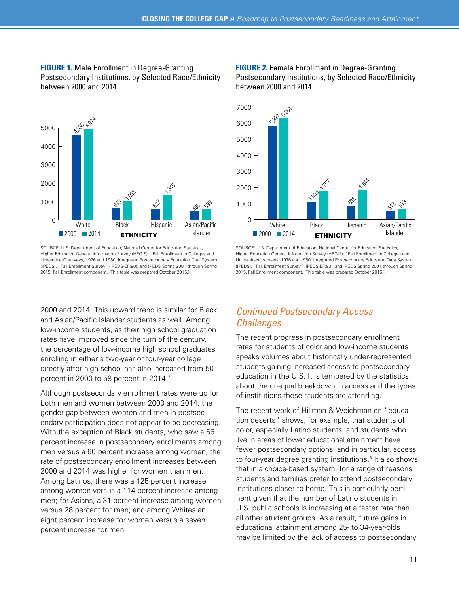**FIGURE 1.** Male Enrollment in Degree-Granting Postsecondary Institutions, by Selected Race/Ethnicity between 2000 and 2014



SOURCE: U.S. Department of Education, National Center for Education Statistics, Higher Education General Information Survey (HEGIS), "Fall Enrollment in Colleges and Universities" surveys, 1976 and 1980; Integrated Postsecondary Education Data System (IPEDS), "Fall Enrollment Survey" (IPEDS-EF:90); and IPEDS Spring 2001 through Spring 2015, Fall Enrollment component. (This table was prepared October 2015.)

2000 and 2014. This upward trend is similar for Black and Asian/Pacific Islander students as well. Among low-income students, as their high school graduation rates have improved since the turn of the century, the percentage of low-income high school graduates enrolling in either a two-year or four-year college directly after high school has also increased from 50 percent in 2000 to 58 percent in 2014.<sup>7</sup>

Although postsecondary enrollment rates were up for both men and women between 2000 and 2014, the gender gap between women and men in postsecondary participation does not appear to be decreasing. With the exception of Black students, who saw a 66 percent increase in postsecondary enrollments among men versus a 60 percent increase among women, the rate of postsecondary enrollment increases between 2000 and 2014 was higher for women than men. Among Latinos, there was a 125 percent increase among women versus a 114 percent increase among men; for Asians, a 31 percent increase among women versus 28 percent for men; and among Whites an eight percent increase for women versus a seven percent increase for men.

### **FIGURE 2.** Female Enrollment in Degree-Granting Postsecondary Institutions, by Selected Race/Ethnicity between 2000 and 2014



SOURCE: U.S. Department of Education, National Center for Education Statistics, Higher Education General Information Survey (HEGIS), "Fall Enrollment in Colleges and Universities" surveys, 1976 and 1980; Integrated Postsecondary Education Data System (IPEDS), "Fall Enrollment Survey" (IPEDS-EF:90); and IPEDS Spring 2001 through Spring 2015, Fall Enrollment component. (This table was prepared October 2015.)

## *Continued Postsecondary Access Challenges*

The recent progress in postsecondary enrollment rates for students of color and low-income students speaks volumes about historically under-represented students gaining increased access to postsecondary education in the U.S. It is tempered by the statistics about the unequal breakdown in access and the types of institutions these students are attending.

The recent work of Hillman & Weichman on "education deserts" shows, for example, that students of color, especially Latino students, and students who live in areas of lower educational attainment have fewer postsecondary options, and in particular, access to four-year degree granting institutions.<sup>8</sup> It also shows that in a choice-based system, for a range of reasons, students and families prefer to attend postsecondary institutions closer to home. This is particularly pertinent given that the number of Latino students in U.S. public schools is increasing at a faster rate than all other student groups. As a result, future gains in educational attainment among 25- to 34-year-olds may be limited by the lack of access to postsecondary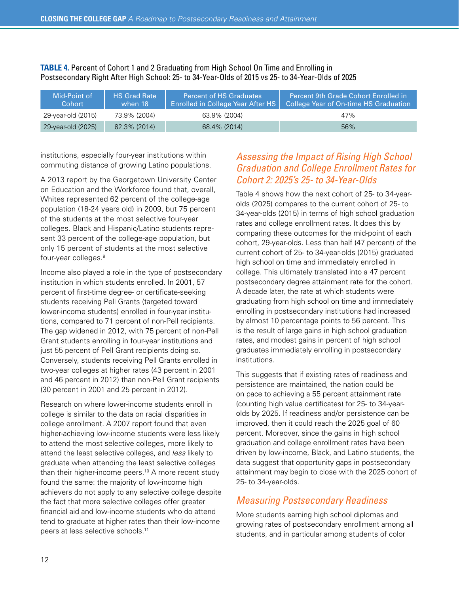**TABLE 4.** Percent of Cohort 1 and 2 Graduating from High School On Time and Enrolling in Postsecondary Right After High School: 25- to 34-Year-Olds of 2015 vs 25- to 34-Year-Olds of 2025

| Mid-Point of<br>Cohort | <b>HS Grad Rate</b><br>when 18 | <b>Percent of HS Graduates</b><br>Enrolled in College Year After HS | <b>Percent 9th Grade Cohort Enrolled in</b><br>College Year of On-time HS Graduation |
|------------------------|--------------------------------|---------------------------------------------------------------------|--------------------------------------------------------------------------------------|
| 29-year-old (2015)     | 73.9% (2004)                   | 63.9% (2004)                                                        | 47%                                                                                  |
| 29-year-old (2025)     | 82.3% (2014)                   | 68.4% (2014)                                                        | 56%                                                                                  |

institutions, especially four-year institutions within commuting distance of growing Latino populations.

A 2013 report by the Georgetown University Center on Education and the Workforce found that, overall, Whites represented 62 percent of the college-age population (18-24 years old) in 2009, but 75 percent of the students at the most selective four-year colleges. Black and Hispanic/Latino students represent 33 percent of the college-age population, but only 15 percent of students at the most selective four-year colleges.9

Income also played a role in the type of postsecondary institution in which students enrolled. In 2001, 57 percent of first-time degree- or certificate-seeking students receiving Pell Grants (targeted toward lower-income students) enrolled in four-year institutions, compared to 71 percent of non-Pell recipients. The gap widened in 2012, with 75 percent of non-Pell Grant students enrolling in four-year institutions and just 55 percent of Pell Grant recipients doing so. Conversely, students receiving Pell Grants enrolled in two-year colleges at higher rates (43 percent in 2001 and 46 percent in 2012) than non-Pell Grant recipients (30 percent in 2001 and 25 percent in 2012).

Research on where lower-income students enroll in college is similar to the data on racial disparities in college enrollment. A 2007 report found that even higher-achieving low-income students were less likely to attend the most selective colleges, more likely to attend the least selective colleges, and *less* likely to graduate when attending the least selective colleges than their higher-income peers.10 A more recent study found the same: the majority of low-income high achievers do not apply to any selective college despite the fact that more selective colleges offer greater financial aid and low-income students who do attend tend to graduate at higher rates than their low-income peers at less selective schools.<sup>11</sup>

## *Assessing the Impact of Rising High School Graduation and College Enrollment Rates for Cohort 2: 2025's 25- to 34-Year-Olds*

Table 4 shows how the next cohort of 25- to 34-yearolds (2025) compares to the current cohort of 25- to 34-year-olds (2015) in terms of high school graduation rates and college enrollment rates. It does this by comparing these outcomes for the mid-point of each cohort, 29-year-olds. Less than half (47 percent) of the current cohort of 25- to 34-year-olds (2015) graduated high school on time and immediately enrolled in college. This ultimately translated into a 47 percent postsecondary degree attainment rate for the cohort. A decade later, the rate at which students were graduating from high school on time and immediately enrolling in postsecondary institutions had increased by almost 10 percentage points to 56 percent. This is the result of large gains in high school graduation rates, and modest gains in percent of high school graduates immediately enrolling in postsecondary institutions.

This suggests that if existing rates of readiness and persistence are maintained, the nation could be on pace to achieving a 55 percent attainment rate (counting high value certificates) for 25- to 34-yearolds by 2025. If readiness and/or persistence can be improved, then it could reach the 2025 goal of 60 percent. Moreover, since the gains in high school graduation and college enrollment rates have been driven by low-income, Black, and Latino students, the data suggest that opportunity gaps in postsecondary attainment may begin to close with the 2025 cohort of 25- to 34-year-olds.

## *Measuring Postsecondary Readiness*

More students earning high school diplomas and growing rates of postsecondary enrollment among all students, and in particular among students of color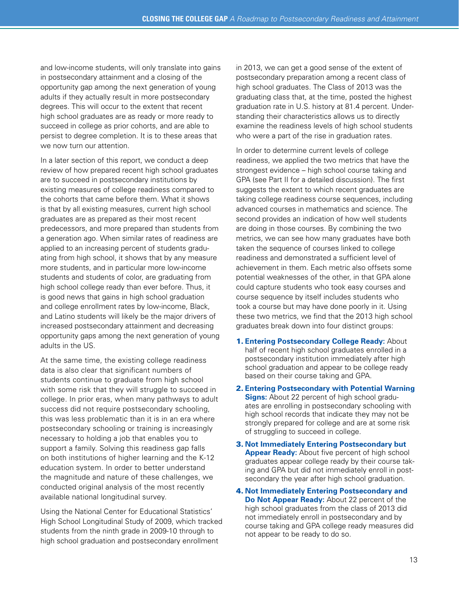and low-income students, will only translate into gains in postsecondary attainment and a closing of the opportunity gap among the next generation of young adults if they actually result in more postsecondary degrees. This will occur to the extent that recent high school graduates are as ready or more ready to succeed in college as prior cohorts, and are able to persist to degree completion. It is to these areas that we now turn our attention.

In a later section of this report, we conduct a deep review of how prepared recent high school graduates are to succeed in postsecondary institutions by existing measures of college readiness compared to the cohorts that came before them. What it shows is that by all existing measures, current high school graduates are as prepared as their most recent predecessors, and more prepared than students from a generation ago. When similar rates of readiness are applied to an increasing percent of students graduating from high school, it shows that by any measure more students, and in particular more low-income students and students of color, are graduating from high school college ready than ever before. Thus, it is good news that gains in high school graduation and college enrollment rates by low-income, Black, and Latino students will likely be the major drivers of increased postsecondary attainment and decreasing opportunity gaps among the next generation of young adults in the US.

At the same time, the existing college readiness data is also clear that significant numbers of students continue to graduate from high school with some risk that they will struggle to succeed in college. In prior eras, when many pathways to adult success did not require postsecondary schooling, this was less problematic than it is in an era where postsecondary schooling or training is increasingly necessary to holding a job that enables you to support a family. Solving this readiness gap falls on both institutions of higher learning and the K-12 education system. In order to better understand the magnitude and nature of these challenges, we conducted original analysis of the most recently available national longitudinal survey.

Using the National Center for Educational Statistics' High School Longitudinal Study of 2009, which tracked students from the ninth grade in 2009-10 through to high school graduation and postsecondary enrollment

in 2013, we can get a good sense of the extent of postsecondary preparation among a recent class of high school graduates. The Class of 2013 was the graduating class that, at the time, posted the highest graduation rate in U.S. history at 81.4 percent. Understanding their characteristics allows us to directly examine the readiness levels of high school students who were a part of the rise in graduation rates.

In order to determine current levels of college readiness, we applied the two metrics that have the strongest evidence – high school course taking and GPA (see Part II for a detailed discussion). The first suggests the extent to which recent graduates are taking college readiness course sequences, including advanced courses in mathematics and science. The second provides an indication of how well students are doing in those courses. By combining the two metrics, we can see how many graduates have both taken the sequence of courses linked to college readiness and demonstrated a sufficient level of achievement in them. Each metric also offsets some potential weaknesses of the other, in that GPA alone could capture students who took easy courses and course sequence by itself includes students who took a course but may have done poorly in it. Using these two metrics, we find that the 2013 high school graduates break down into four distinct groups:

- 1. **Entering Postsecondary College Ready:** About half of recent high school graduates enrolled in a postsecondary institution immediately after high school graduation and appear to be college ready based on their course taking and GPA.
- 2. **Entering Postsecondary with Potential Warning Signs:** About 22 percent of high school graduates are enrolling in postsecondary schooling with high school records that indicate they may not be strongly prepared for college and are at some risk of struggling to succeed in college.
- 3. **Not Immediately Entering Postsecondary but Appear Ready:** About five percent of high school graduates appear college ready by their course taking and GPA but did not immediately enroll in postsecondary the year after high school graduation.
- 4. **Not Immediately Entering Postsecondary and Do Not Appear Ready:** About 22 percent of the high school graduates from the class of 2013 did not immediately enroll in postsecondary and by course taking and GPA college ready measures did not appear to be ready to do so.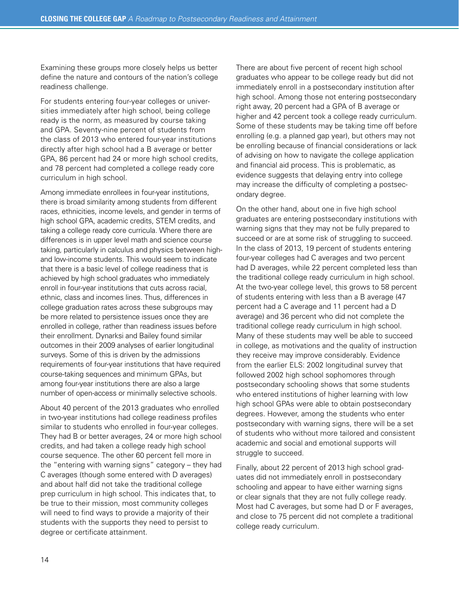Examining these groups more closely helps us better define the nature and contours of the nation's college readiness challenge.

For students entering four-year colleges or universities immediately after high school, being college ready is the norm, as measured by course taking and GPA. Seventy-nine percent of students from the class of 2013 who entered four-year institutions directly after high school had a B average or better GPA, 86 percent had 24 or more high school credits, and 78 percent had completed a college ready core curriculum in high school.

Among immediate enrollees in four-year institutions, there is broad similarity among students from different races, ethnicities, income levels, and gender in terms of high school GPA, academic credits, STEM credits, and taking a college ready core curricula. Where there are differences is in upper level math and science course taking, particularly in calculus and physics between highand low-income students. This would seem to indicate that there is a basic level of college readiness that is achieved by high school graduates who immediately enroll in four-year institutions that cuts across racial, ethnic, class and incomes lines. Thus, differences in college graduation rates across these subgroups may be more related to persistence issues once they are enrolled in college, rather than readiness issues before their enrollment. Dynarksi and Bailey found similar outcomes in their 2009 analyses of earlier longitudinal surveys. Some of this is driven by the admissions requirements of four-year institutions that have required course-taking sequences and minimum GPAs, but among four-year institutions there are also a large number of open-access or minimally selective schools.

About 40 percent of the 2013 graduates who enrolled in two-year institutions had college readiness profiles similar to students who enrolled in four-year colleges. They had B or better averages, 24 or more high school credits, and had taken a college ready high school course sequence. The other 60 percent fell more in the "entering with warning signs" category – they had C averages (though some entered with D averages) and about half did not take the traditional college prep curriculum in high school. This indicates that, to be true to their mission, most community colleges will need to find ways to provide a majority of their students with the supports they need to persist to degree or certificate attainment.

There are about five percent of recent high school graduates who appear to be college ready but did not immediately enroll in a postsecondary institution after high school. Among those not entering postsecondary right away, 20 percent had a GPA of B average or higher and 42 percent took a college ready curriculum. Some of these students may be taking time off before enrolling (e.g. a planned gap year), but others may not be enrolling because of financial considerations or lack of advising on how to navigate the college application and financial aid process. This is problematic, as evidence suggests that delaying entry into college may increase the difficulty of completing a postsecondary degree.

On the other hand, about one in five high school graduates are entering postsecondary institutions with warning signs that they may not be fully prepared to succeed or are at some risk of struggling to succeed. In the class of 2013, 19 percent of students entering four-year colleges had C averages and two percent had D averages, while 22 percent completed less than the traditional college ready curriculum in high school. At the two-year college level, this grows to 58 percent of students entering with less than a B average (47 percent had a C average and 11 percent had a D average) and 36 percent who did not complete the traditional college ready curriculum in high school. Many of these students may well be able to succeed in college, as motivations and the quality of instruction they receive may improve considerably. Evidence from the earlier ELS: 2002 longitudinal survey that followed 2002 high school sophomores through postsecondary schooling shows that some students who entered institutions of higher learning with low high school GPAs were able to obtain postsecondary degrees. However, among the students who enter postsecondary with warning signs, there will be a set of students who without more tailored and consistent academic and social and emotional supports will struggle to succeed.

Finally, about 22 percent of 2013 high school graduates did not immediately enroll in postsecondary schooling and appear to have either warning signs or clear signals that they are not fully college ready. Most had C averages, but some had D or F averages, and close to 75 percent did not complete a traditional college ready curriculum.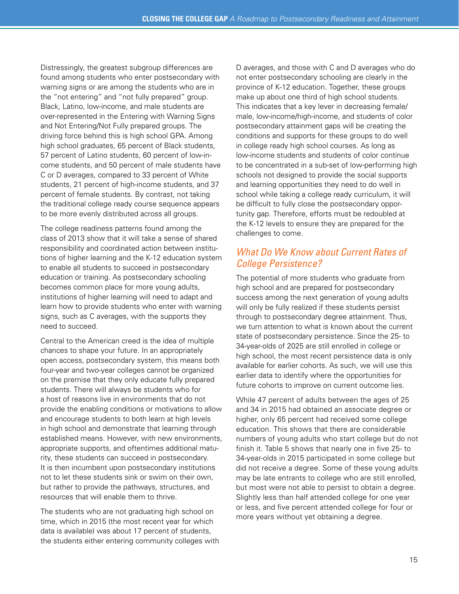Distressingly, the greatest subgroup differences are found among students who enter postsecondary with warning signs or are among the students who are in the "not entering" and "not fully prepared" group. Black, Latino, low-income, and male students are over-represented in the Entering with Warning Signs and Not Entering/Not Fully prepared groups. The driving force behind this is high school GPA. Among high school graduates, 65 percent of Black students, 57 percent of Latino students, 60 percent of low-income students, and 50 percent of male students have C or D averages, compared to 33 percent of White students, 21 percent of high-income students, and 37 percent of female students. By contrast, not taking the traditional college ready course sequence appears to be more evenly distributed across all groups.

The college readiness patterns found among the class of 2013 show that it will take a sense of shared responsibility and coordinated action between institutions of higher learning and the K-12 education system to enable all students to succeed in postsecondary education or training. As postsecondary schooling becomes common place for more young adults, institutions of higher learning will need to adapt and learn how to provide students who enter with warning signs, such as C averages, with the supports they need to succeed.

Central to the American creed is the idea of multiple chances to shape your future. In an appropriately open access, postsecondary system, this means both four-year and two-year colleges cannot be organized on the premise that they only educate fully prepared students. There will always be students who for a host of reasons live in environments that do not provide the enabling conditions or motivations to allow and encourage students to both learn at high levels in high school and demonstrate that learning through established means. However, with new environments, appropriate supports, and oftentimes additional maturity, these students can succeed in postsecondary. It is then incumbent upon postsecondary institutions not to let these students sink or swim on their own, but rather to provide the pathways, structures, and resources that will enable them to thrive.

The students who are not graduating high school on time, which in 2015 (the most recent year for which data is available) was about 17 percent of students, the students either entering community colleges with D averages, and those with C and D averages who do not enter postsecondary schooling are clearly in the province of K-12 education. Together, these groups make up about one third of high school students. This indicates that a key lever in decreasing female/ male, low-income/high-income, and students of color postsecondary attainment gaps will be creating the conditions and supports for these groups to do well in college ready high school courses. As long as low-income students and students of color continue to be concentrated in a sub-set of low-performing high schools not designed to provide the social supports and learning opportunities they need to do well in school while taking a college ready curriculum, it will be difficult to fully close the postsecondary opportunity gap. Therefore, efforts must be redoubled at the K-12 levels to ensure they are prepared for the challenges to come.

## *What Do We Know about Current Rates of College Persistence?*

The potential of more students who graduate from high school and are prepared for postsecondary success among the next generation of young adults will only be fully realized if these students persist through to postsecondary degree attainment. Thus, we turn attention to what is known about the current state of postsecondary persistence. Since the 25- to 34-year-olds of 2025 are still enrolled in college or high school, the most recent persistence data is only available for earlier cohorts. As such, we will use this earlier data to identify where the opportunities for future cohorts to improve on current outcome lies.

While 47 percent of adults between the ages of 25 and 34 in 2015 had obtained an associate degree or higher, only 65 percent had received some college education. This shows that there are considerable numbers of young adults who start college but do not finish it. Table 5 shows that nearly one in five 25- to 34-year-olds in 2015 participated in some college but did not receive a degree. Some of these young adults may be late entrants to college who are still enrolled, but most were not able to persist to obtain a degree. Slightly less than half attended college for one year or less, and five percent attended college for four or more years without yet obtaining a degree.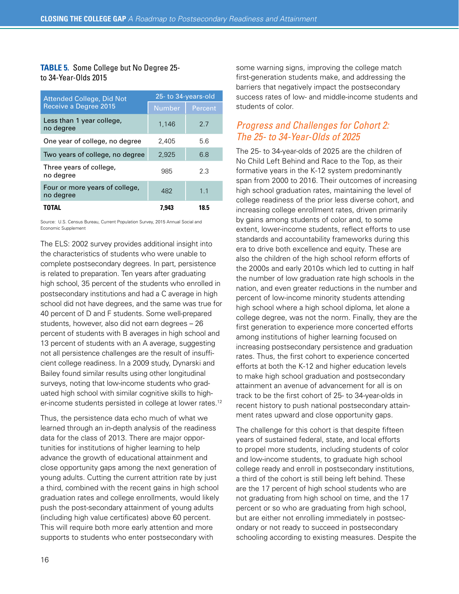### **TABLE 5.** Some College but No Degree 25 to 34-Year-Olds 2015

| <b>Attended College, Did Not</b>            | 25- to 34-years-old |         |  |  |
|---------------------------------------------|---------------------|---------|--|--|
| Receive a Degree 2015                       | <b>Number</b>       | Percent |  |  |
| Less than 1 year college,<br>no degree      | 1,146               | 2.7     |  |  |
| One year of college, no degree              | 2.405               | 5.6     |  |  |
| Two years of college, no degree             | 2.925               | 6.8     |  |  |
| Three years of college,<br>no degree        | 985                 | 2.3     |  |  |
| Four or more years of college,<br>no degree | 482                 | 1.1     |  |  |
| TOTAL                                       | 7.943               | 18.5    |  |  |

Source: U.S. Census Bureau, Current Population Survey, 2015 Annual Social and Economic Supplement

The ELS: 2002 survey provides additional insight into the characteristics of students who were unable to complete postsecondary degrees. In part, persistence is related to preparation. Ten years after graduating high school, 35 percent of the students who enrolled in postsecondary institutions and had a C average in high school did not have degrees, and the same was true for 40 percent of D and F students. Some well-prepared students, however, also did not earn degrees – 26 percent of students with B averages in high school and 13 percent of students with an A average, suggesting not all persistence challenges are the result of insufficient college readiness. In a 2009 study, Dynarski and Bailey found similar results using other longitudinal surveys, noting that low-income students who graduated high school with similar cognitive skills to higher-income students persisted in college at lower rates.12

Thus, the persistence data echo much of what we learned through an in-depth analysis of the readiness data for the class of 2013. There are major opportunities for institutions of higher learning to help advance the growth of educational attainment and close opportunity gaps among the next generation of young adults. Cutting the current attrition rate by just a third, combined with the recent gains in high school graduation rates and college enrollments, would likely push the post-secondary attainment of young adults (including high value certificates) above 60 percent. This will require both more early attention and more supports to students who enter postsecondary with

some warning signs, improving the college match first-generation students make, and addressing the barriers that negatively impact the postsecondary success rates of low- and middle-income students and students of color.

## *Progress and Challenges for Cohort 2: The 25- to 34-Year-Olds of 2025*

The 25- to 34-year-olds of 2025 are the children of No Child Left Behind and Race to the Top, as their formative years in the K-12 system predominantly span from 2000 to 2016. Their outcomes of increasing high school graduation rates, maintaining the level of college readiness of the prior less diverse cohort, and increasing college enrollment rates, driven primarily by gains among students of color and, to some extent, lower-income students, reflect efforts to use standards and accountability frameworks during this era to drive both excellence and equity. These are also the children of the high school reform efforts of the 2000s and early 2010s which led to cutting in half the number of low graduation rate high schools in the nation, and even greater reductions in the number and percent of low-income minority students attending high school where a high school diploma, let alone a college degree, was not the norm. Finally, they are the first generation to experience more concerted efforts among institutions of higher learning focused on increasing postsecondary persistence and graduation rates. Thus, the first cohort to experience concerted efforts at both the K-12 and higher education levels to make high school graduation and postsecondary attainment an avenue of advancement for all is on track to be the first cohort of 25- to 34-year-olds in recent history to push national postsecondary attainment rates upward and close opportunity gaps.

The challenge for this cohort is that despite fifteen years of sustained federal, state, and local efforts to propel more students, including students of color and low-income students, to graduate high school college ready and enroll in postsecondary institutions, a third of the cohort is still being left behind. These are the 17 percent of high school students who are not graduating from high school on time, and the 17 percent or so who are graduating from high school, but are either not enrolling immediately in postsecondary or not ready to succeed in postsecondary schooling according to existing measures. Despite the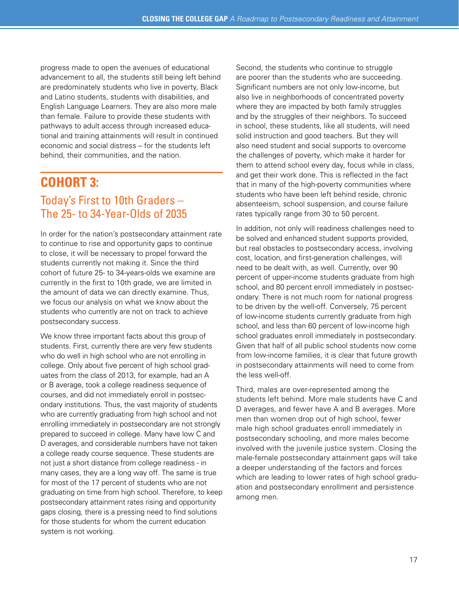progress made to open the avenues of educational advancement to all, the students still being left behind are predominately students who live in poverty, Black and Latino students, students with disabilities, and English Language Learners. They are also more male than female. Failure to provide these students with pathways to adult access through increased educational and training attainments will result in continued economic and social distress – for the students left behind, their communities, and the nation.

## **COHORT 3:**

## Today's First to 10th Graders – The 25- to 34-Year-Olds of 2035

In order for the nation's postsecondary attainment rate to continue to rise and opportunity gaps to continue to close, it will be necessary to propel forward the students currently not making it. Since the third cohort of future 25- to 34-years-olds we examine are currently in the first to 10th grade, we are limited in the amount of data we can directly examine. Thus, we focus our analysis on what we know about the students who currently are not on track to achieve postsecondary success.

We know three important facts about this group of students. First, currently there are very few students who do well in high school who are not enrolling in college. Only about five percent of high school graduates from the class of 2013, for example, had an A or B average, took a college readiness sequence of courses, and did not immediately enroll in postsecondary institutions. Thus, the vast majority of students who are currently graduating from high school and not enrolling immediately in postsecondary are not strongly prepared to succeed in college. Many have low C and D averages, and considerable numbers have not taken a college ready course sequence. These students are not just a short distance from college readiness - in many cases, they are a long way off. The same is true for most of the 17 percent of students who are not graduating on time from high school. Therefore, to keep postsecondary attainment rates rising and opportunity gaps closing, there is a pressing need to find solutions for those students for whom the current education system is not working.

Second, the students who continue to struggle are poorer than the students who are succeeding. Significant numbers are not only low-income, but also live in neighborhoods of concentrated poverty where they are impacted by both family struggles and by the struggles of their neighbors. To succeed in school, these students, like all students, will need solid instruction and good teachers. But they will also need student and social supports to overcome the challenges of poverty, which make it harder for them to attend school every day, focus while in class, and get their work done. This is reflected in the fact that in many of the high-poverty communities where students who have been left behind reside, chronic absenteeism, school suspension, and course failure rates typically range from 30 to 50 percent.

In addition, not only will readiness challenges need to be solved and enhanced student supports provided, but real obstacles to postsecondary access, involving cost, location, and first-generation challenges, will need to be dealt with, as well. Currently, over 90 percent of upper-income students graduate from high school, and 80 percent enroll immediately in postsecondary. There is not much room for national progress to be driven by the well-off. Conversely, 75 percent of low-income students currently graduate from high school, and less than 60 percent of low-income high school graduates enroll immediately in postsecondary. Given that half of all public school students now come from low-income families, it is clear that future growth in postsecondary attainments will need to come from the less well-off.

Third, males are over-represented among the students left behind. More male students have C and D averages, and fewer have A and B averages. More men than women drop out of high school, fewer male high school graduates enroll immediately in postsecondary schooling, and more males become involved with the juvenile justice system. Closing the male-female postsecondary attainment gaps will take a deeper understanding of the factors and forces which are leading to lower rates of high school graduation and postsecondary enrollment and persistence among men.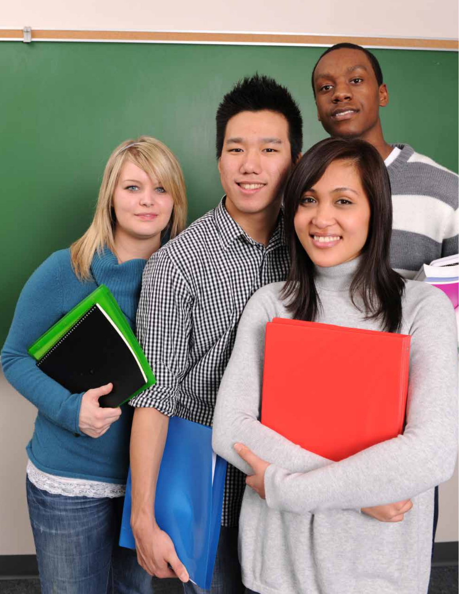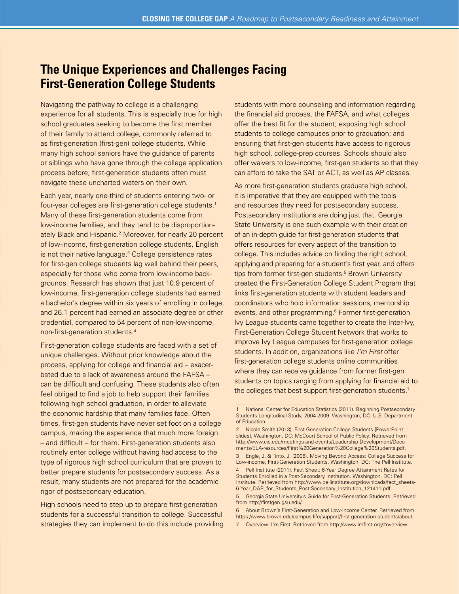## **The Unique Experiences and Challenges Facing First-Generation College Students**

Navigating the pathway to college is a challenging experience for all students. This is especially true for high school graduates seeking to become the first member of their family to attend college, commonly referred to as first-generation (first-gen) college students. While many high school seniors have the guidance of parents or siblings who have gone through the college application process before, first-generation students often must navigate these uncharted waters on their own.

Each year, nearly one-third of students entering two- or four-year colleges are first-generation college students.1 Many of these first-generation students come from low-income families, and they tend to be disproportionately Black and Hispanic.<sup>2</sup> Moreover, for nearly 20 percent of low-income, first-generation college students, English is not their native language.<sup>3</sup> College persistence rates for first-gen college students lag well behind their peers, especially for those who come from low-income backgrounds. Research has shown that just 10.9 percent of low-income, first-generation college students had earned a bachelor's degree within six years of enrolling in college, and 26.1 percent had earned an associate degree or other credential, compared to 54 percent of non-low-income, non-first-generation students.4

First-generation college students are faced with a set of unique challenges. Without prior knowledge about the process, applying for college and financial aid – exacerbated due to a lack of awareness around the FAFSA – can be difficult and confusing. These students also often feel obliged to find a job to help support their families following high school graduation, in order to alleviate the economic hardship that many families face. Often times, first-gen students have never set foot on a college campus, making the experience that much more foreign – and difficult – for them. First-generation students also routinely enter college without having had access to the type of rigorous high school curriculum that are proven to better prepare students for postsecondary success. As a result, many students are not prepared for the academic rigor of postsecondary education.

High schools need to step up to prepare first-generation students for a successful transition to college. Successful strategies they can implement to do this include providing students with more counseling and information regarding the financial aid process, the FAFSA, and what colleges offer the best fit for the student; exposing high school students to college campuses prior to graduation; and ensuring that first-gen students have access to rigorous high school, college-prep courses. Schools should also offer waivers to low-income, first-gen students so that they can afford to take the SAT or ACT, as well as AP classes.

As more first-generation students graduate high school, it is imperative that they are equipped with the tools and resources they need for postsecondary success. Postsecondary institutions are doing just that. Georgia State University is one such example with their creation of an in-depth guide for first-generation students that offers resources for every aspect of the transition to college. This includes advice on finding the right school, applying and preparing for a student's first year, and offers tips from former first-gen students.<sup>5</sup> Brown University created the First-Generation College Student Program that links first-generation students with student leaders and coordinators who hold information sessions, mentorship events, and other programming.<sup>6</sup> Former first-generation Ivy League students came together to create the Inter-Ivy, First-Generation College Student Network that works to improve Ivy League campuses for first-generation college students. In addition, organizations like *I'm First* offer first-generation college students online communities where they can receive guidance from former first-gen students on topics ranging from applying for financial aid to the colleges that best support first-generation students.<sup>7</sup>

National Center for Education Statistics (2011). Beginning Postsecondary Students Longitudinal Study, 2004-2009. Washington, DC: U.S. Department of Education.

<sup>2</sup> Nicole Smith (2013). First Generation College Students [PowerPoint slides]. Washington, DC: McCourt School of Public Policy. Retrieved from http://www.cic.edu/meetings-and-events/Leadership-Development/Documents/ELA-resources/First%20Generation%20College%20Students.pdf.

<sup>3</sup> Engle, J. & Tinto, J. (2008). Moving Beyond Access: College Success for Low-income, First-Generation Students. Washington, DC: The Pell Institute.

<sup>4</sup> Pell Institute (2011). Fact Sheet: 6-Year Degree Attainment Rates for Students Enrolled in a Post-Secondary Institution. Washington, DC: Pell Institute. Retrieved from http://www.pellinstitute.org/downloads/fact\_sheets-6-Year\_DAR\_for\_Students\_Post-Secondary\_Institution\_121411.pdf.

<sup>5</sup> Georgia State University's Guide for First-Generation Students. Retrieved from http://firstgen.gsu.edu/.

<sup>6</sup> About Brown's First-Generation and Low-Income Center. Retrieved from https://www.brown.edu/campus-life/support/first-generation-students/about.

<sup>7</sup> Overview: I'm First. Retrieved from http://www.imfirst.org/#overview.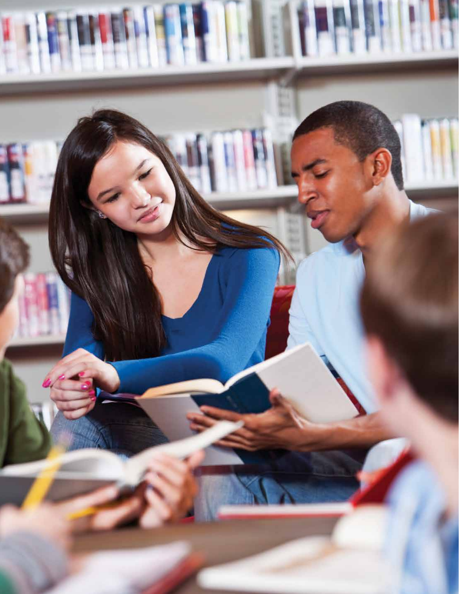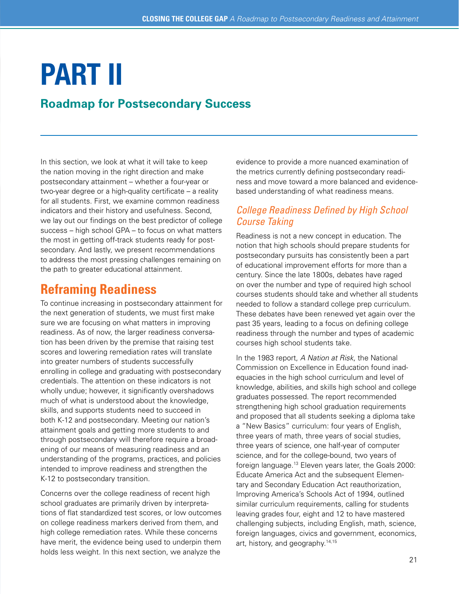# **PART II**

## **Roadmap for Postsecondary Success**

In this section, we look at what it will take to keep the nation moving in the right direction and make postsecondary attainment – whether a four-year or two-year degree or a high-quality certificate – a reality for all students. First, we examine common readiness indicators and their history and usefulness. Second, we lay out our findings on the best predictor of college success – high school GPA – to focus on what matters the most in getting off-track students ready for postsecondary. And lastly, we present recommendations to address the most pressing challenges remaining on the path to greater educational attainment.

## **Reframing Readiness**

To continue increasing in postsecondary attainment for the next generation of students, we must first make sure we are focusing on what matters in improving readiness. As of now, the larger readiness conversation has been driven by the premise that raising test scores and lowering remediation rates will translate into greater numbers of students successfully enrolling in college and graduating with postsecondary credentials. The attention on these indicators is not wholly undue; however, it significantly overshadows much of what is understood about the knowledge, skills, and supports students need to succeed in both K-12 and postsecondary. Meeting our nation's attainment goals and getting more students to and through postsecondary will therefore require a broadening of our means of measuring readiness and an understanding of the programs, practices, and policies intended to improve readiness and strengthen the K-12 to postsecondary transition.

Concerns over the college readiness of recent high school graduates are primarily driven by interpretations of flat standardized test scores, or low outcomes on college readiness markers derived from them, and high college remediation rates. While these concerns have merit, the evidence being used to underpin them holds less weight. In this next section, we analyze the

evidence to provide a more nuanced examination of the metrics currently defining postsecondary readiness and move toward a more balanced and evidencebased understanding of what readiness means.

## *College Readiness Defined by High School Course Taking*

Readiness is not a new concept in education. The notion that high schools should prepare students for postsecondary pursuits has consistently been a part of educational improvement efforts for more than a century. Since the late 1800s, debates have raged on over the number and type of required high school courses students should take and whether all students needed to follow a standard college prep curriculum. These debates have been renewed yet again over the past 35 years, leading to a focus on defining college readiness through the number and types of academic courses high school students take.

In the 1983 report, *A Nation at Risk*, the National Commission on Excellence in Education found inadequacies in the high school curriculum and level of knowledge, abilities, and skills high school and college graduates possessed. The report recommended strengthening high school graduation requirements and proposed that all students seeking a diploma take a "New Basics" curriculum: four years of English, three years of math, three years of social studies, three years of science, one half-year of computer science, and for the college-bound, two years of foreign language.13 Eleven years later, the Goals 2000: Educate America Act and the subsequent Elementary and Secondary Education Act reauthorization, Improving America's Schools Act of 1994, outlined similar curriculum requirements, calling for students leaving grades four, eight and 12 to have mastered challenging subjects, including English, math, science, foreign languages, civics and government, economics, art, history, and geography.14,15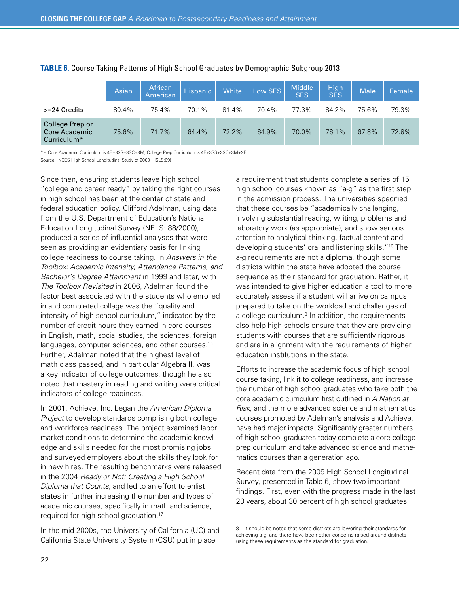|                                                | Asian | African<br>American | Hispanic | White | Low SES | <b>Middle</b><br><b>SES</b> | High<br><b>SES</b> | <b>Male</b> | Female |
|------------------------------------------------|-------|---------------------|----------|-------|---------|-----------------------------|--------------------|-------------|--------|
| >=24 Credits                                   | 80.4% | 75.4%               | 70.1%    | 81.4% | 70.4%   | 77.3%                       | 84.2%              | 75.6%       | 79.3%  |
| College Prep or<br>Core Academic<br>Curricular | 75.6% | 71.7%               | 64.4%    | 72.2% | 64.9%   | 70.0%                       | 76.1%              | 67.8%       | 72.8%  |

#### **TABLE 6.** Course Taking Patterns of High School Graduates by Demographic Subgroup 2013

\* - Core Academic Curriculum is 4E+3SS+3SC+3M; College Prep Curriculum is 4E+3SS+3SC+3M+2FL

Source: NCES High School Longitudinal Study of 2009 (HSLS:09)

Since then, ensuring students leave high school "college and career ready" by taking the right courses in high school has been at the center of state and federal education policy. Clifford Adelman, using data from the U.S. Department of Education's National Education Longitudinal Survey (NELS: 88/2000), produced a series of influential analyses that were seen as providing an evidentiary basis for linking college readiness to course taking. In *Answers in the Toolbox: Academic Intensity, Attendance Patterns, and Bachelor's Degree Attainment* in 1999 and later, with *The Toolbox Revisited* in 2006, Adelman found the factor best associated with the students who enrolled in and completed college was the "quality and intensity of high school curriculum," indicated by the number of credit hours they earned in core courses in English, math, social studies, the sciences, foreign languages, computer sciences, and other courses.16 Further, Adelman noted that the highest level of math class passed, and in particular Algebra II, was a key indicator of college outcomes, though he also noted that mastery in reading and writing were critical indicators of college readiness.

In 2001, Achieve, Inc. began the *American Diploma Project* to develop standards comprising both college and workforce readiness. The project examined labor market conditions to determine the academic knowledge and skills needed for the most promising jobs and surveyed employers about the skills they look for in new hires. The resulting benchmarks were released in the 2004 *Ready or Not: Creating a High School Diploma that Counts*, and led to an effort to enlist states in further increasing the number and types of academic courses, specifically in math and science, required for high school graduation.17

In the mid-2000s, the University of California (UC) and California State University System (CSU) put in place

a requirement that students complete a series of 15 high school courses known as "a-g" as the first step in the admission process. The universities specified that these courses be "academically challenging, involving substantial reading, writing, problems and laboratory work (as appropriate), and show serious attention to analytical thinking, factual content and developing students' oral and listening skills."18 The a-g requirements are not a diploma, though some districts within the state have adopted the course sequence as their standard for graduation. Rather, it was intended to give higher education a tool to more accurately assess if a student will arrive on campus prepared to take on the workload and challenges of a college curriculum.<sup>8</sup> In addition, the requirements also help high schools ensure that they are providing students with courses that are sufficiently rigorous, and are in alignment with the requirements of higher education institutions in the state.

Efforts to increase the academic focus of high school course taking, link it to college readiness, and increase the number of high school graduates who take both the core academic curriculum first outlined in *A Nation at Risk*, and the more advanced science and mathematics courses promoted by Adelman's analysis and Achieve, have had major impacts. Significantly greater numbers of high school graduates today complete a core college prep curriculum and take advanced science and mathematics courses than a generation ago.

Recent data from the 2009 High School Longitudinal Survey, presented in Table 6, show two important findings. First, even with the progress made in the last 20 years, about 30 percent of high school graduates

<sup>8</sup> It should be noted that some districts are lowering their standards for achieving a-g, and there have been other concerns raised around districts using these requirements as the standard for graduation.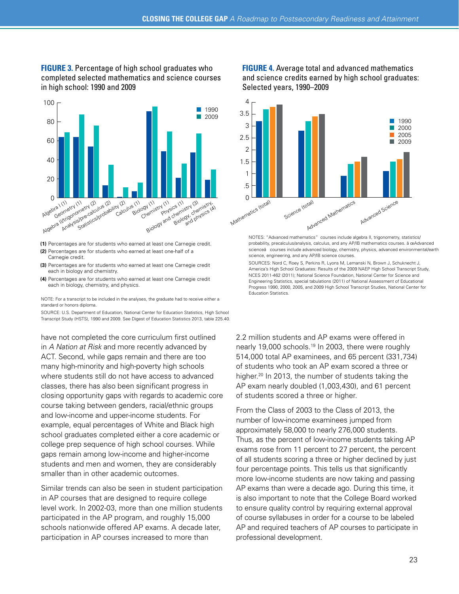**FIGURE 3.** Percentage of high school graduates who completed selected mathematics and science courses in high school: 1990 and 2009



**(1)** Percentages are for students who earned at least one Carnegie credit. **(2)** Percentages are for students who earned at least one-half of a

- Carnegie credit. **(3)** Percentages are for students who earned at least one Carnegie credit each in biology and chemistry.
- **(4)** Percentages are for students who earned at least one Carnegie credit each in biology, chemistry, and physics.

NOTE: For a transcript to be included in the analyses, the graduate had to receive either a standard or honors diploma.

SOURCE: U.S. Department of Education, National Center for Education Statistics, High School Transcript Study (HSTS), 1990 and 2009. See Digest of Education Statistics 2013, table 225.40.

have not completed the core curriculum first outlined in *A Nation at Risk* and more recently advanced by ACT. Second, while gaps remain and there are too many high-minority and high-poverty high schools where students still do not have access to advanced classes, there has also been significant progress in closing opportunity gaps with regards to academic core course taking between genders, racial/ethnic groups and low-income and upper-income students. For example, equal percentages of White and Black high school graduates completed either a core academic or college prep sequence of high school courses. While gaps remain among low-income and higher-income students and men and women, they are considerably smaller than in other academic outcomes.

Similar trends can also be seen in student participation in AP courses that are designed to require college level work. In 2002-03, more than one million students participated in the AP program, and roughly 15,000 schools nationwide offered AP exams. A decade later, participation in AP courses increased to more than

### **FIGURE 4.** Average total and advanced mathematics and science credits earned by high school graduates: Selected years, 1990–2009



NOTES: "Advanced mathematics" courses include algebra II, trigonometry, statistics/ probability, precalculus/analysis, calculus, and any AP/IB mathematics courses. â œAdvanced scienceâ courses include advanced biology, chemistry, physics, advanced environmental/earth science, engineering, and any AP/IB science courses.

SOURCES: Nord C, Roey S, Perkins R, Lyons M, Lemanski N, Brown J, Schuknecht J, America's High School Graduates: Results of the 2009 NAEP High School Transcript Study, NCES 2011-462 (2011); National Science Foundation, National Center for Science and Engineering Statistics, special tabulations (2011) of National Assessment of Educational Progress 1990, 2000, 2005, and 2009 High School Transcript Studies, National Center for Education Statistics.

2.2 million students and AP exams were offered in nearly 19,000 schools.19 In 2003, there were roughly 514,000 total AP examinees, and 65 percent (331,734) of students who took an AP exam scored a three or higher.<sup>20</sup> In 2013, the number of students taking the AP exam nearly doubled (1,003,430), and 61 percent of students scored a three or higher.

From the Class of 2003 to the Class of 2013, the number of low-income examinees jumped from approximately 58,000 to nearly 276,000 students. Thus, as the percent of low-income students taking AP exams rose from 11 percent to 27 percent, the percent of all students scoring a three or higher declined by just four percentage points. This tells us that significantly more low-income students are now taking and passing AP exams than were a decade ago. During this time, it is also important to note that the College Board worked to ensure quality control by requiring external approval of course syllabuses in order for a course to be labeled AP and required teachers of AP courses to participate in professional development.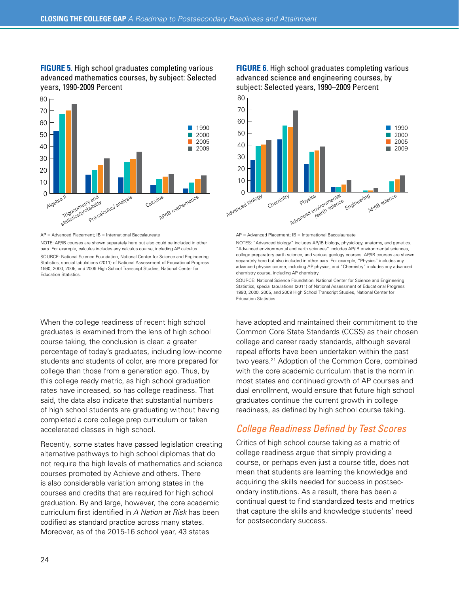**FIGURE 5.** High school graduates completing various advanced mathematics courses, by subject: Selected years, 1990-2009 Percent



AP = Advanced Placement; IB = International Baccalaureate

NOTE: AP/IB courses are shown separately here but also could be included in other bars. For example, calculus includes any calculus course, including AP calculus. SOURCE: National Science Foundation, National Center for Science and Engineering Statistics, special tabulations (2011) of National Assessment of Educational Progress 1990, 2000, 2005, and 2009 High School Transcript Studies, National Center for Education Statistics.

When the college readiness of recent high school graduates is examined from the lens of high school course taking, the conclusion is clear: a greater percentage of today's graduates, including low-income students and students of color, are more prepared for college than those from a generation ago. Thus, by this college ready metric, as high school graduation rates have increased, so has college readiness. That said, the data also indicate that substantial numbers of high school students are graduating without having completed a core college prep curriculum or taken accelerated classes in high school.

Recently, some states have passed legislation creating alternative pathways to high school diplomas that do not require the high levels of mathematics and science courses promoted by Achieve and others. There is also considerable variation among states in the courses and credits that are required for high school graduation. By and large, however, the core academic curriculum first identified in *A Nation at Risk* has been codified as standard practice across many states. Moreover, as of the 2015-16 school year, 43 states

#### **FIGURE 6.** High school graduates completing various advanced science and engineering courses, by subject: Selected years, 1990–2009 Percent



AP = Advanced Placement; IB = International Baccalaureate

NOTES: "Advanced biology" includes AP/IB biology, physiology, anatomy, and genetics. "Advanced environmental and earth sciences" includes AP/IB environmental sciences, college preparatory earth science, and various geology courses. AP/IB courses are shown separately here but also included in other bars. For example, "Physics" includes any advanced physics course, including AP physics, and "Chemistry" includes any advanced chemistry course, including AP chemistry.

SOURCE: National Science Foundation, National Center for Science and Engineering Statistics, special tabulations (2011) of National Assessment of Educational Progress 1990, 2000, 2005, and 2009 High School Transcript Studies, National Center for Education Statistics.

have adopted and maintained their commitment to the Common Core State Standards (CCSS) as their chosen college and career ready standards, although several repeal efforts have been undertaken within the past two years.21 Adoption of the Common Core, combined with the core academic curriculum that is the norm in most states and continued growth of AP courses and dual enrollment, would ensure that future high school graduates continue the current growth in college readiness, as defined by high school course taking.

## *College Readiness Defined by Test Scores*

Critics of high school course taking as a metric of college readiness argue that simply providing a course, or perhaps even just a course title, does not mean that students are learning the knowledge and acquiring the skills needed for success in postsecondary institutions. As a result, there has been a continual quest to find standardized tests and metrics that capture the skills and knowledge students' need for postsecondary success.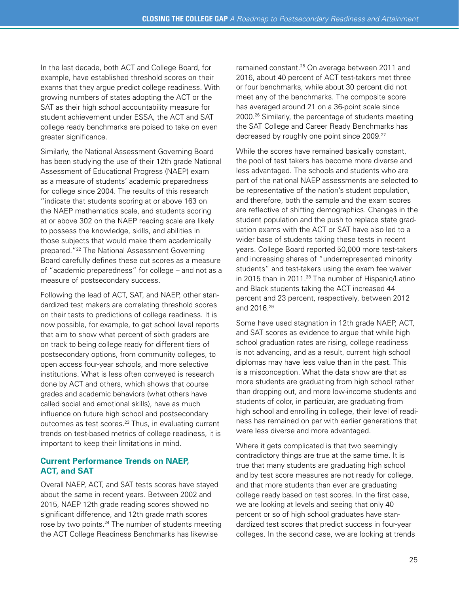In the last decade, both ACT and College Board, for example, have established threshold scores on their exams that they argue predict college readiness. With growing numbers of states adopting the ACT or the SAT as their high school accountability measure for student achievement under ESSA, the ACT and SAT college ready benchmarks are poised to take on even greater significance.

Similarly, the National Assessment Governing Board has been studying the use of their 12th grade National Assessment of Educational Progress (NAEP) exam as a measure of students' academic preparedness for college since 2004. The results of this research "indicate that students scoring at or above 163 on the NAEP mathematics scale, and students scoring at or above 302 on the NAEP reading scale are likely to possess the knowledge, skills, and abilities in those subjects that would make them academically prepared."22 The National Assessment Governing Board carefully defines these cut scores as a measure of "academic preparedness" for college – and not as a measure of postsecondary success.

Following the lead of ACT, SAT, and NAEP, other standardized test makers are correlating threshold scores on their tests to predictions of college readiness. It is now possible, for example, to get school level reports that aim to show what percent of sixth graders are on track to being college ready for different tiers of postsecondary options, from community colleges, to open access four-year schools, and more selective institutions. What is less often conveyed is research done by ACT and others, which shows that course grades and academic behaviors (what others have called social and emotional skills), have as much influence on future high school and postsecondary outcomes as test scores.<sup>23</sup> Thus, in evaluating current trends on test-based metrics of college readiness, it is important to keep their limitations in mind.

### **Current Performance Trends on NAEP, ACT, and SAT**

Overall NAEP, ACT, and SAT tests scores have stayed about the same in recent years. Between 2002 and 2015, NAEP 12th grade reading scores showed no significant difference, and 12th grade math scores rose by two points.<sup>24</sup> The number of students meeting the ACT College Readiness Benchmarks has likewise

remained constant.25 On average between 2011 and 2016, about 40 percent of ACT test-takers met three or four benchmarks, while about 30 percent did not meet any of the benchmarks. The composite score has averaged around 21 on a 36-point scale since 2000.26 Similarly, the percentage of students meeting the SAT College and Career Ready Benchmarks has decreased by roughly one point since 2009.27

While the scores have remained basically constant, the pool of test takers has become more diverse and less advantaged. The schools and students who are part of the national NAEP assessments are selected to be representative of the nation's student population, and therefore, both the sample and the exam scores are reflective of shifting demographics. Changes in the student population and the push to replace state graduation exams with the ACT or SAT have also led to a wider base of students taking these tests in recent years. College Board reported 50,000 more test-takers and increasing shares of "underrepresented minority students" and test-takers using the exam fee waiver in 2015 than in 2011.<sup>28</sup> The number of Hispanic/Latino and Black students taking the ACT increased 44 percent and 23 percent, respectively, between 2012 and 2016.29

Some have used stagnation in 12th grade NAEP, ACT, and SAT scores as evidence to argue that while high school graduation rates are rising, college readiness is not advancing, and as a result, current high school diplomas may have less value than in the past. This is a misconception. What the data show are that as more students are graduating from high school rather than dropping out, and more low-income students and students of color, in particular, are graduating from high school and enrolling in college, their level of readiness has remained on par with earlier generations that were less diverse and more advantaged.

Where it gets complicated is that two seemingly contradictory things are true at the same time. It is true that many students are graduating high school and by test score measures are not ready for college, and that more students than ever are graduating college ready based on test scores. In the first case, we are looking at levels and seeing that only 40 percent or so of high school graduates have standardized test scores that predict success in four-year colleges. In the second case, we are looking at trends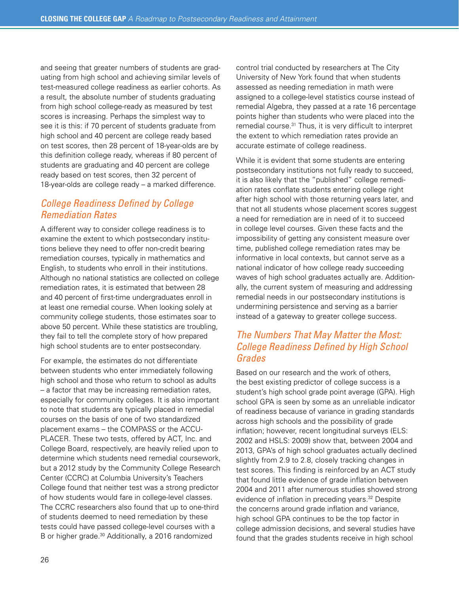and seeing that greater numbers of students are graduating from high school and achieving similar levels of test-measured college readiness as earlier cohorts. As a result, the absolute number of students graduating from high school college-ready as measured by test scores is increasing. Perhaps the simplest way to see it is this: if 70 percent of students graduate from high school and 40 percent are college ready based on test scores, then 28 percent of 18-year-olds are by this definition college ready, whereas if 80 percent of students are graduating and 40 percent are college ready based on test scores, then 32 percent of 18-year-olds are college ready – a marked difference.

## *College Readiness Defined by College Remediation Rates*

A different way to consider college readiness is to examine the extent to which postsecondary institutions believe they need to offer non-credit bearing remediation courses, typically in mathematics and English, to students who enroll in their institutions. Although no national statistics are collected on college remediation rates, it is estimated that between 28 and 40 percent of first-time undergraduates enroll in at least one remedial course. When looking solely at community college students, those estimates soar to above 50 percent. While these statistics are troubling, they fail to tell the complete story of how prepared high school students are to enter postsecondary.

For example, the estimates do not differentiate between students who enter immediately following high school and those who return to school as adults – a factor that may be increasing remediation rates, especially for community colleges. It is also important to note that students are typically placed in remedial courses on the basis of one of two standardized placement exams – the COMPASS or the ACCU-PLACER. These two tests, offered by ACT, Inc. and College Board, respectively, are heavily relied upon to determine which students need remedial coursework, but a 2012 study by the Community College Research Center (CCRC) at Columbia University's Teachers College found that neither test was a strong predictor of how students would fare in college-level classes. The CCRC researchers also found that up to one-third of students deemed to need remediation by these tests could have passed college-level courses with a B or higher grade.<sup>30</sup> Additionally, a 2016 randomized

control trial conducted by researchers at The City University of New York found that when students assessed as needing remediation in math were assigned to a college-level statistics course instead of remedial Algebra, they passed at a rate 16 percentage points higher than students who were placed into the remedial course.31 Thus, it is very difficult to interpret the extent to which remediation rates provide an accurate estimate of college readiness.

While it is evident that some students are entering postsecondary institutions not fully ready to succeed, it is also likely that the "published" college remediation rates conflate students entering college right after high school with those returning years later, and that not all students whose placement scores suggest a need for remediation are in need of it to succeed in college level courses. Given these facts and the impossibility of getting any consistent measure over time, published college remediation rates may be informative in local contexts, but cannot serve as a national indicator of how college ready succeeding waves of high school graduates actually are. Additionally, the current system of measuring and addressing remedial needs in our postsecondary institutions is undermining persistence and serving as a barrier instead of a gateway to greater college success.

## *The Numbers That May Matter the Most: College Readiness Defined by High School Grades*

Based on our research and the work of others, the best existing predictor of college success is a student's high school grade point average (GPA). High school GPA is seen by some as an unreliable indicator of readiness because of variance in grading standards across high schools and the possibility of grade inflation; however, recent longitudinal surveys (ELS: 2002 and HSLS: 2009) show that, between 2004 and 2013, GPA's of high school graduates actually declined slightly from 2.9 to 2.8, closely tracking changes in test scores. This finding is reinforced by an ACT study that found little evidence of grade inflation between 2004 and 2011 after numerous studies showed strong evidence of inflation in preceding years.<sup>32</sup> Despite the concerns around grade inflation and variance, high school GPA continues to be the top factor in college admission decisions, and several studies have found that the grades students receive in high school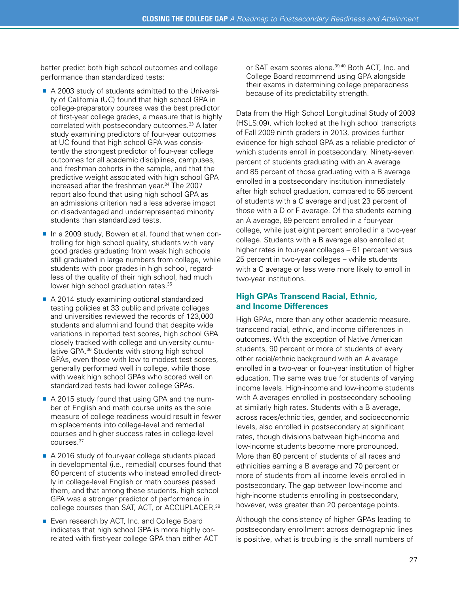better predict both high school outcomes and college performance than standardized tests:

- A 2003 study of students admitted to the University of California (UC) found that high school GPA in college-preparatory courses was the best predictor of first-year college grades, a measure that is highly correlated with postsecondary outcomes.<sup>33</sup> A later study examining predictors of four-year outcomes at UC found that high school GPA was consistently the strongest predictor of four-year college outcomes for all academic disciplines, campuses, and freshman cohorts in the sample, and that the predictive weight associated with high school GPA increased after the freshman year.<sup>34</sup> The 2007 report also found that using high school GPA as an admissions criterion had a less adverse impact on disadvantaged and underrepresented minority students than standardized tests.
- In a 2009 study, Bowen et al. found that when controlling for high school quality, students with very good grades graduating from weak high schools still graduated in large numbers from college, while students with poor grades in high school, regardless of the quality of their high school, had much lower high school graduation rates.<sup>35</sup>
- A 2014 study examining optional standardized testing policies at 33 public and private colleges and universities reviewed the records of 123,000 students and alumni and found that despite wide variations in reported test scores, high school GPA closely tracked with college and university cumulative GPA.36 Students with strong high school GPAs, even those with low to modest test scores, generally performed well in college, while those with weak high school GPAs who scored well on standardized tests had lower college GPAs.
- A 2015 study found that using GPA and the number of English and math course units as the sole measure of college readiness would result in fewer misplacements into college-level and remedial courses and higher success rates in college-level courses.37
- A 2016 study of four-year college students placed in developmental (i.e., remedial) courses found that 60 percent of students who instead enrolled directly in college-level English or math courses passed them, and that among these students, high school GPA was a stronger predictor of performance in college courses than SAT, ACT, or ACCUPLACER.<sup>38</sup>
- Even research by ACT, Inc. and College Board indicates that high school GPA is more highly correlated with first-year college GPA than either ACT

or SAT exam scores alone.<sup>39,40</sup> Both ACT, Inc. and College Board recommend using GPA alongside their exams in determining college preparedness because of its predictability strength.

Data from the High School Longitudinal Study of 2009 (HSLS:09), which looked at the high school transcripts of Fall 2009 ninth graders in 2013, provides further evidence for high school GPA as a reliable predictor of which students enroll in postsecondary. Ninety-seven percent of students graduating with an A average and 85 percent of those graduating with a B average enrolled in a postsecondary institution immediately after high school graduation, compared to 55 percent of students with a C average and just 23 percent of those with a D or F average. Of the students earning an A average, 89 percent enrolled in a four-year college, while just eight percent enrolled in a two-year college. Students with a B average also enrolled at higher rates in four-year colleges – 61 percent versus 25 percent in two-year colleges – while students with a C average or less were more likely to enroll in two-year institutions.

### **High GPAs Transcend Racial, Ethnic, and Income Differences**

High GPAs, more than any other academic measure, transcend racial, ethnic, and income differences in outcomes. With the exception of Native American students, 90 percent or more of students of every other racial/ethnic background with an A average enrolled in a two-year or four-year institution of higher education. The same was true for students of varying income levels. High-income and low-income students with A averages enrolled in postsecondary schooling at similarly high rates. Students with a B average, across races/ethnicities, gender, and socioeconomic levels, also enrolled in postsecondary at significant rates, though divisions between high-income and low-income students become more pronounced. More than 80 percent of students of all races and ethnicities earning a B average and 70 percent or more of students from all income levels enrolled in postsecondary. The gap between low-income and high-income students enrolling in postsecondary, however, was greater than 20 percentage points.

Although the consistency of higher GPAs leading to postsecondary enrollment across demographic lines is positive, what is troubling is the small numbers of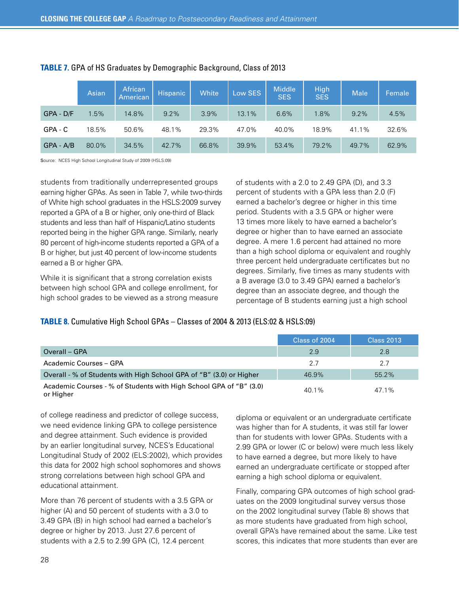|             | Asian | African<br>American | Hispanic | White | Low SES | <b>Middle</b><br><b>SES</b> | <b>High</b><br><b>SES</b> | <b>Male</b> | Female |
|-------------|-------|---------------------|----------|-------|---------|-----------------------------|---------------------------|-------------|--------|
| GPA - D/F   | 1.5%  | 14.8%               | $9.2\%$  | 3.9%  | 13.1%   | 6.6%                        | 1.8%                      | 9.2%        | 4.5%   |
| GPA - C     | 18.5% | 50.6%               | 48.1%    | 29.3% | 47.0%   | 40.0%                       | 18.9%                     | 41.1%       | 32.6%  |
| $GPA - A/B$ | 80.0% | 34.5%               | 42.7%    | 66.8% | 39.9%   | 53.4%                       | 79.2%                     | 49.7%       | 62.9%  |

#### **TABLE 7.** GPA of HS Graduates by Demographic Background, Class of 2013

Source: NCES High School Longitudinal Study of 2009 (HSLS:09)

students from traditionally underrepresented groups earning higher GPAs. As seen in Table 7, while two-thirds of White high school graduates in the HSLS:2009 survey reported a GPA of a B or higher, only one-third of Black students and less than half of Hispanic/Latino students reported being in the higher GPA range. Similarly, nearly 80 percent of high-income students reported a GPA of a B or higher, but just 40 percent of low-income students earned a B or higher GPA.

While it is significant that a strong correlation exists between high school GPA and college enrollment, for high school grades to be viewed as a strong measure of students with a 2.0 to 2.49 GPA (D), and 3.3 percent of students with a GPA less than 2.0 (F) earned a bachelor's degree or higher in this time period. Students with a 3.5 GPA or higher were 13 times more likely to have earned a bachelor's degree or higher than to have earned an associate degree. A mere 1.6 percent had attained no more than a high school diploma or equivalent and roughly three percent held undergraduate certificates but no degrees. Similarly, five times as many students with a B average (3.0 to 3.49 GPA) earned a bachelor's degree than an associate degree, and though the percentage of B students earning just a high school

### **TABLE 8.** Cumulative High School GPAs – Classes of 2004 & 2013 (ELS:02 & HSLS:09)

|                                                                                 | Class of 2004 | <b>Class 2013</b> |
|---------------------------------------------------------------------------------|---------------|-------------------|
| Overall – GPA                                                                   | 2.9           | 2.8               |
| Academic Courses - GPA                                                          | 2.7           | 2.7               |
| Overall - % of Students with High School GPA of "B" (3.0) or Higher             | 46.9%         | 55.2%             |
| Academic Courses - % of Students with High School GPA of "B" (3.0)<br>or Higher | 40.1%         | 47.1%             |

of college readiness and predictor of college success, we need evidence linking GPA to college persistence and degree attainment. Such evidence is provided by an earlier longitudinal survey, NCES's Educational Longitudinal Study of 2002 (ELS:2002), which provides this data for 2002 high school sophomores and shows strong correlations between high school GPA and educational attainment.

More than 76 percent of students with a 3.5 GPA or higher (A) and 50 percent of students with a 3.0 to 3.49 GPA (B) in high school had earned a bachelor's degree or higher by 2013. Just 27.6 percent of students with a 2.5 to 2.99 GPA (C), 12.4 percent

diploma or equivalent or an undergraduate certificate was higher than for A students, it was still far lower than for students with lower GPAs. Students with a 2.99 GPA or lower (C or below) were much less likely to have earned a degree, but more likely to have earned an undergraduate certificate or stopped after earning a high school diploma or equivalent.

Finally, comparing GPA outcomes of high school graduates on the 2009 longitudinal survey versus those on the 2002 longitudinal survey (Table 8) shows that as more students have graduated from high school, overall GPA's have remained about the same. Like test scores, this indicates that more students than ever are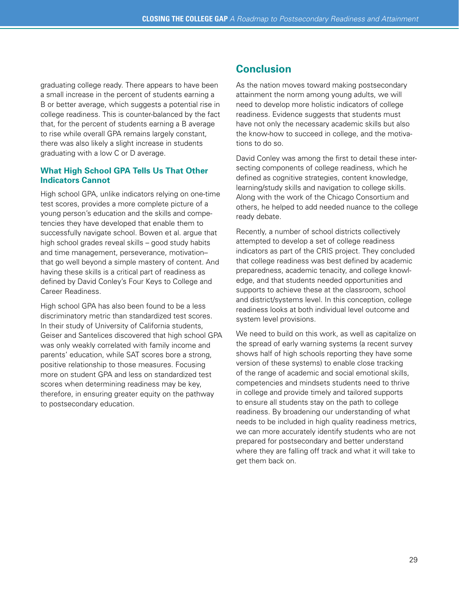graduating college ready. There appears to have been a small increase in the percent of students earning a B or better average, which suggests a potential rise in college readiness. This is counter-balanced by the fact that, for the percent of students earning a B average to rise while overall GPA remains largely constant, there was also likely a slight increase in students graduating with a low C or D average.

### **What High School GPA Tells Us That Other Indicators Cannot**

High school GPA, unlike indicators relying on one-time test scores, provides a more complete picture of a young person's education and the skills and competencies they have developed that enable them to successfully navigate school. Bowen et al. argue that high school grades reveal skills – good study habits and time management, perseverance, motivation– that go well beyond a simple mastery of content. And having these skills is a critical part of readiness as defined by David Conley's Four Keys to College and Career Readiness.

High school GPA has also been found to be a less discriminatory metric than standardized test scores. In their study of University of California students, Geiser and Santelices discovered that high school GPA was only weakly correlated with family income and parents' education, while SAT scores bore a strong, positive relationship to those measures. Focusing more on student GPA and less on standardized test scores when determining readiness may be key, therefore, in ensuring greater equity on the pathway to postsecondary education.

## **Conclusion**

As the nation moves toward making postsecondary attainment the norm among young adults, we will need to develop more holistic indicators of college readiness. Evidence suggests that students must have not only the necessary academic skills but also the know-how to succeed in college, and the motivations to do so.

David Conley was among the first to detail these intersecting components of college readiness, which he defined as cognitive strategies, content knowledge, learning/study skills and navigation to college skills. Along with the work of the Chicago Consortium and others, he helped to add needed nuance to the college ready debate.

Recently, a number of school districts collectively attempted to develop a set of college readiness indicators as part of the CRIS project. They concluded that college readiness was best defined by academic preparedness, academic tenacity, and college knowledge, and that students needed opportunities and supports to achieve these at the classroom, school and district/systems level. In this conception, college readiness looks at both individual level outcome and system level provisions.

We need to build on this work, as well as capitalize on the spread of early warning systems (a recent survey shows half of high schools reporting they have some version of these systems) to enable close tracking of the range of academic and social emotional skills, competencies and mindsets students need to thrive in college and provide timely and tailored supports to ensure all students stay on the path to college readiness. By broadening our understanding of what needs to be included in high quality readiness metrics, we can more accurately identify students who are not prepared for postsecondary and better understand where they are falling off track and what it will take to get them back on.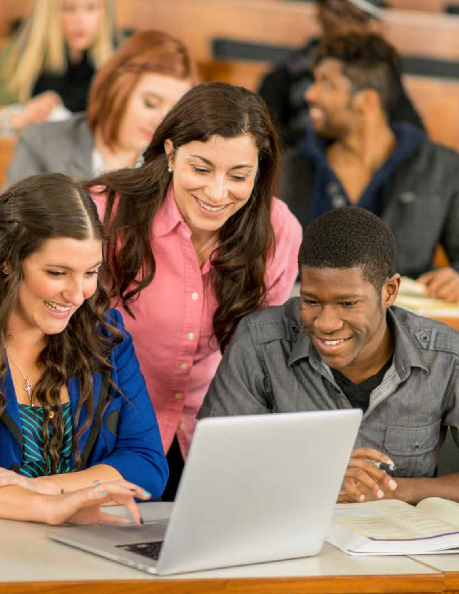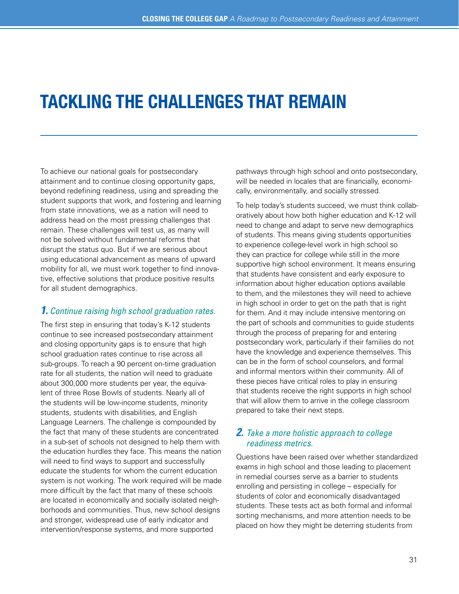# **TACKLING THE CHALLENGES THAT REMAIN**

To achieve our national goals for postsecondary attainment and to continue closing opportunity gaps, beyond redefining readiness, using and spreading the student supports that work, and fostering and learning from state innovations, we as a nation will need to address head on the most pressing challenges that remain. These challenges will test us, as many will not be solved without fundamental reforms that disrupt the status quo. But if we are serious about using educational advancement as means of upward mobility for all, we must work together to find innovative, effective solutions that produce positive results for all student demographics.

## *1. Continue raising high school graduation rates.*

The first step in ensuring that today's K-12 students continue to see increased postsecondary attainment and closing opportunity gaps is to ensure that high school graduation rates continue to rise across all sub-groups. To reach a 90 percent on-time graduation rate for all students, the nation will need to graduate about 300,000 more students per year, the equivalent of three Rose Bowls of students. Nearly all of the students will be low-income students, minority students, students with disabilities, and English Language Learners. The challenge is compounded by the fact that many of these students are concentrated in a sub-set of schools not designed to help them with the education hurdles they face. This means the nation will need to find ways to support and successfully educate the students for whom the current education system is not working. The work required will be made more difficult by the fact that many of these schools are located in economically and socially isolated neighborhoods and communities. Thus, new school designs and stronger, widespread use of early indicator and intervention/response systems, and more supported

pathways through high school and onto postsecondary, will be needed in locales that are financially, economically, environmentally, and socially stressed.

To help today's students succeed, we must think collaboratively about how both higher education and K-12 will need to change and adapt to serve new demographics of students. This means giving students opportunities to experience college-level work in high school so they can practice for college while still in the more supportive high school environment. It means ensuring that students have consistent and early exposure to information about higher education options available to them, and the milestones they will need to achieve in high school in order to get on the path that is right for them. And it may include intensive mentoring on the part of schools and communities to guide students through the process of preparing for and entering postsecondary work, particularly if their families do not have the knowledge and experience themselves. This can be in the form of school counselors, and formal and informal mentors within their community. All of these pieces have critical roles to play in ensuring that students receive the right supports in high school that will allow them to arrive in the college classroom prepared to take their next steps.

## *2. Take a more holistic approach to college readiness metrics.*

Questions have been raised over whether standardized exams in high school and those leading to placement in remedial courses serve as a barrier to students enrolling and persisting in college – especially for students of color and economically disadvantaged students. These tests act as both formal and informal sorting mechanisms, and more attention needs to be placed on how they might be deterring students from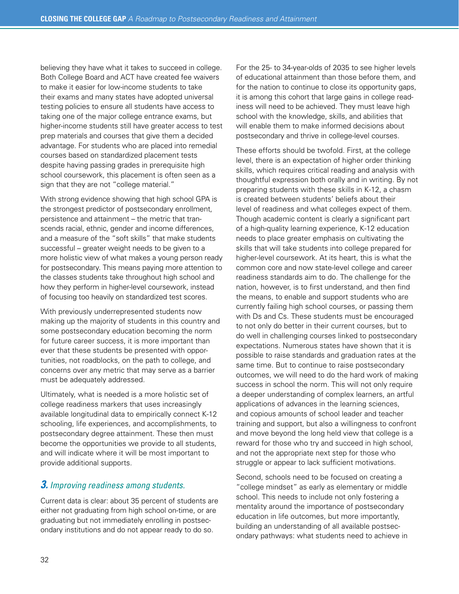believing they have what it takes to succeed in college. Both College Board and ACT have created fee waivers to make it easier for low-income students to take their exams and many states have adopted universal testing policies to ensure all students have access to taking one of the major college entrance exams, but higher-income students still have greater access to test prep materials and courses that give them a decided advantage. For students who are placed into remedial courses based on standardized placement tests despite having passing grades in prerequisite high school coursework, this placement is often seen as a sign that they are not "college material."

With strong evidence showing that high school GPA is the strongest predictor of postsecondary enrollment, persistence and attainment – the metric that transcends racial, ethnic, gender and income differences, and a measure of the "soft skills" that make students successful – greater weight needs to be given to a more holistic view of what makes a young person ready for postsecondary. This means paying more attention to the classes students take throughout high school and how they perform in higher-level coursework, instead of focusing too heavily on standardized test scores.

With previously underrepresented students now making up the majority of students in this country and some postsecondary education becoming the norm for future career success, it is more important than ever that these students be presented with opportunities, not roadblocks, on the path to college, and concerns over any metric that may serve as a barrier must be adequately addressed.

Ultimately, what is needed is a more holistic set of college readiness markers that uses increasingly available longitudinal data to empirically connect K-12 schooling, life experiences, and accomplishments, to postsecondary degree attainment. These then must become the opportunities we provide to all students, and will indicate where it will be most important to provide additional supports.

## *3. Improving readiness among students.*

Current data is clear: about 35 percent of students are either not graduating from high school on-time, or are graduating but not immediately enrolling in postsecondary institutions and do not appear ready to do so.

For the 25- to 34-year-olds of 2035 to see higher levels of educational attainment than those before them, and for the nation to continue to close its opportunity gaps, it is among this cohort that large gains in college readiness will need to be achieved. They must leave high school with the knowledge, skills, and abilities that will enable them to make informed decisions about postsecondary and thrive in college-level courses.

These efforts should be twofold. First, at the college level, there is an expectation of higher order thinking skills, which requires critical reading and analysis with thoughtful expression both orally and in writing. By not preparing students with these skills in K-12, a chasm is created between students' beliefs about their level of readiness and what colleges expect of them. Though academic content is clearly a significant part of a high-quality learning experience, K-12 education needs to place greater emphasis on cultivating the skills that will take students into college prepared for higher-level coursework. At its heart, this is what the common core and now state-level college and career readiness standards aim to do. The challenge for the nation, however, is to first understand, and then find the means, to enable and support students who are currently failing high school courses, or passing them with Ds and Cs. These students must be encouraged to not only do better in their current courses, but to do well in challenging courses linked to postsecondary expectations. Numerous states have shown that it is possible to raise standards and graduation rates at the same time. But to continue to raise postsecondary outcomes, we will need to do the hard work of making success in school the norm. This will not only require a deeper understanding of complex learners, an artful applications of advances in the learning sciences, and copious amounts of school leader and teacher training and support, but also a willingness to confront and move beyond the long held view that college is a reward for those who try and succeed in high school, and not the appropriate next step for those who struggle or appear to lack sufficient motivations.

Second, schools need to be focused on creating a "college mindset" as early as elementary or middle school. This needs to include not only fostering a mentality around the importance of postsecondary education in life outcomes, but more importantly, building an understanding of all available postsecondary pathways: what students need to achieve in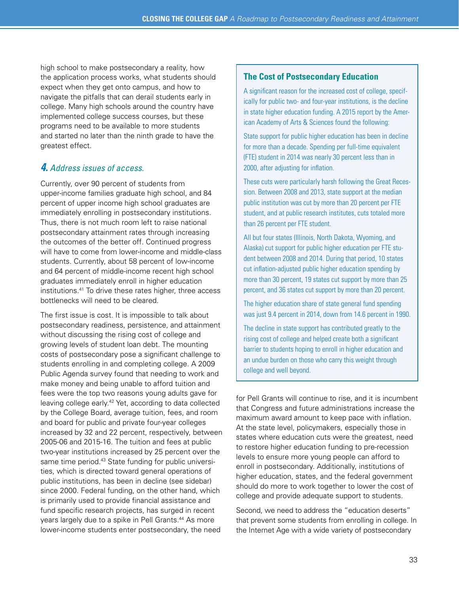high school to make postsecondary a reality, how the application process works, what students should expect when they get onto campus, and how to navigate the pitfalls that can derail students early in college. Many high schools around the country have implemented college success courses, but these programs need to be available to more students and started no later than the ninth grade to have the greatest effect.

## *4. Address issues of access.*

Currently, over 90 percent of students from upper-income families graduate high school, and 84 percent of upper income high school graduates are immediately enrolling in postsecondary institutions. Thus, there is not much room left to raise national postsecondary attainment rates through increasing the outcomes of the better off. Continued progress will have to come from lower-income and middle-class students. Currently, about 58 percent of low-income and 64 percent of middle-income recent high school graduates immediately enroll in higher education institutions.41 To drive these rates higher, three access bottlenecks will need to be cleared.

The first issue is cost. It is impossible to talk about postsecondary readiness, persistence, and attainment without discussing the rising cost of college and growing levels of student loan debt. The mounting costs of postsecondary pose a significant challenge to students enrolling in and completing college. A 2009 Public Agenda survey found that needing to work and make money and being unable to afford tuition and fees were the top two reasons young adults gave for leaving college early.42 Yet, according to data collected by the College Board, average tuition, fees, and room and board for public and private four-year colleges increased by 32 and 22 percent, respectively, between 2005-06 and 2015-16. The tuition and fees at public two-year institutions increased by 25 percent over the same time period.<sup>43</sup> State funding for public universities, which is directed toward general operations of public institutions, has been in decline (see sidebar) since 2000. Federal funding, on the other hand, which is primarily used to provide financial assistance and fund specific research projects, has surged in recent years largely due to a spike in Pell Grants.<sup>44</sup> As more lower-income students enter postsecondary, the need

## **The Cost of Postsecondary Education**

A significant reason for the increased cost of college, specifically for public two- and four-year institutions, is the decline in state higher education funding. A 2015 report by the American Academy of Arts & Sciences found the following:

State support for public higher education has been in decline for more than a decade. Spending per full-time equivalent (FTE) student in 2014 was nearly 30 percent less than in 2000, after adjusting for inflation.

These cuts were particularly harsh following the Great Recession. Between 2008 and 2013, state support at the median public institution was cut by more than 20 percent per FTE student, and at public research institutes, cuts totaled more than 26 percent per FTE student.

All but four states (Illinois, North Dakota, Wyoming, and Alaska) cut support for public higher education per FTE student between 2008 and 2014. During that period, 10 states cut inflation-adjusted public higher education spending by more than 30 percent, 19 states cut support by more than 25 percent, and 36 states cut support by more than 20 percent.

The higher education share of state general fund spending was just 9.4 percent in 2014, down from 14.6 percent in 1990.

The decline in state support has contributed greatly to the rising cost of college and helped create both a significant barrier to students hoping to enroll in higher education and an undue burden on those who carry this weight through college and well beyond.

for Pell Grants will continue to rise, and it is incumbent that Congress and future administrations increase the maximum award amount to keep pace with inflation. At the state level, policymakers, especially those in states where education cuts were the greatest, need to restore higher education funding to pre-recession levels to ensure more young people can afford to enroll in postsecondary. Additionally, institutions of higher education, states, and the federal government should do more to work together to lower the cost of college and provide adequate support to students.

Second, we need to address the "education deserts" that prevent some students from enrolling in college. In the Internet Age with a wide variety of postsecondary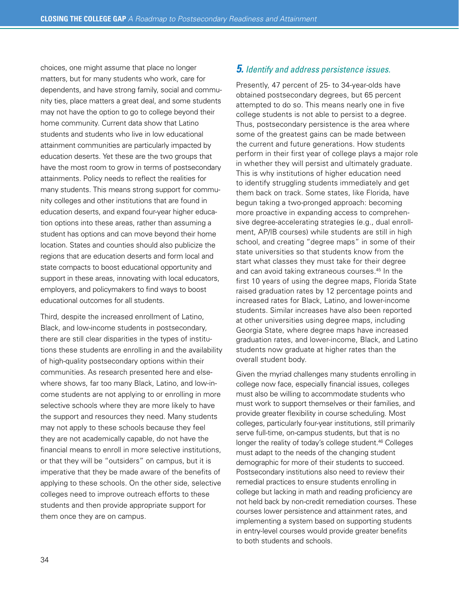choices, one might assume that place no longer matters, but for many students who work, care for dependents, and have strong family, social and community ties, place matters a great deal, and some students may not have the option to go to college beyond their home community. Current data show that Latino students and students who live in low educational attainment communities are particularly impacted by education deserts. Yet these are the two groups that have the most room to grow in terms of postsecondary attainments. Policy needs to reflect the realities for many students. This means strong support for community colleges and other institutions that are found in education deserts, and expand four-year higher education options into these areas, rather than assuming a student has options and can move beyond their home location. States and counties should also publicize the regions that are education deserts and form local and state compacts to boost educational opportunity and support in these areas, innovating with local educators, employers, and policymakers to find ways to boost educational outcomes for all students.

Third, despite the increased enrollment of Latino, Black, and low-income students in postsecondary, there are still clear disparities in the types of institutions these students are enrolling in and the availability of high-quality postsecondary options within their communities. As research presented here and elsewhere shows, far too many Black, Latino, and low-income students are not applying to or enrolling in more selective schools where they are more likely to have the support and resources they need. Many students may not apply to these schools because they feel they are not academically capable, do not have the financial means to enroll in more selective institutions, or that they will be "outsiders" on campus, but it is imperative that they be made aware of the benefits of applying to these schools. On the other side, selective colleges need to improve outreach efforts to these students and then provide appropriate support for them once they are on campus.

## *5. Identify and address persistence issues.*

Presently, 47 percent of 25- to 34-year-olds have obtained postsecondary degrees, but 65 percent attempted to do so. This means nearly one in five college students is not able to persist to a degree. Thus, postsecondary persistence is the area where some of the greatest gains can be made between the current and future generations. How students perform in their first year of college plays a major role in whether they will persist and ultimately graduate. This is why institutions of higher education need to identify struggling students immediately and get them back on track. Some states, like Florida, have begun taking a two-pronged approach: becoming more proactive in expanding access to comprehensive degree-accelerating strategies (e.g., dual enrollment, AP/IB courses) while students are still in high school, and creating "degree maps" in some of their state universities so that students know from the start what classes they must take for their degree and can avoid taking extraneous courses.45 In the first 10 years of using the degree maps, Florida State raised graduation rates by 12 percentage points and increased rates for Black, Latino, and lower-income students. Similar increases have also been reported at other universities using degree maps, including Georgia State, where degree maps have increased graduation rates, and lower-income, Black, and Latino students now graduate at higher rates than the overall student body.

Given the myriad challenges many students enrolling in college now face, especially financial issues, colleges must also be willing to accommodate students who must work to support themselves or their families, and provide greater flexibility in course scheduling. Most colleges, particularly four-year institutions, still primarily serve full-time, on-campus students, but that is no longer the reality of today's college student.<sup>46</sup> Colleges must adapt to the needs of the changing student demographic for more of their students to succeed. Postsecondary institutions also need to review their remedial practices to ensure students enrolling in college but lacking in math and reading proficiency are not held back by non-credit remediation courses. These courses lower persistence and attainment rates, and implementing a system based on supporting students in entry-level courses would provide greater benefits to both students and schools.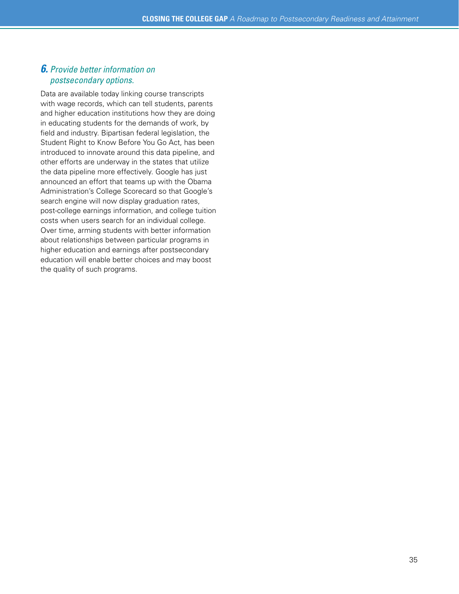## *6. Provide better information on postsecondary options.*

Data are available today linking course transcripts with wage records, which can tell students, parents and higher education institutions how they are doing in educating students for the demands of work, by field and industry. Bipartisan federal legislation, the Student Right to Know Before You Go Act, has been introduced to innovate around this data pipeline, and other efforts are underway in the states that utilize the data pipeline more effectively. Google has just announced an effort that teams up with the Obama Administration's College Scorecard so that Google's search engine will now display graduation rates, post-college earnings information, and college tuition costs when users search for an individual college. Over time, arming students with better information about relationships between particular programs in higher education and earnings after postsecondary education will enable better choices and may boost the quality of such programs.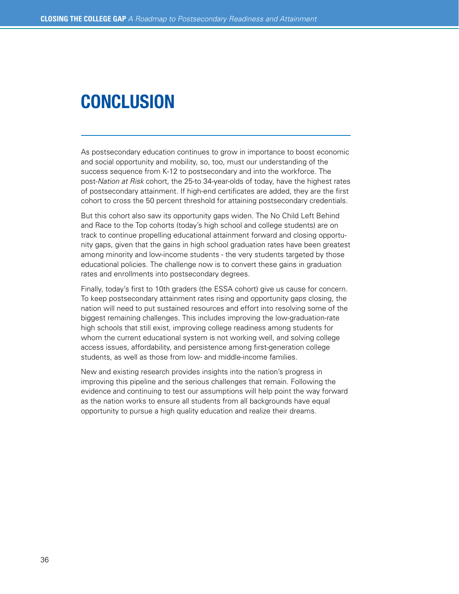# **CONCLUSION**

As postsecondary education continues to grow in importance to boost economic and social opportunity and mobility, so, too, must our understanding of the success sequence from K-12 to postsecondary and into the workforce. The post-*Nation at Risk* cohort, the 25-to 34-year-olds of today, have the highest rates of postsecondary attainment. If high-end certificates are added, they are the first cohort to cross the 50 percent threshold for attaining postsecondary credentials.

But this cohort also saw its opportunity gaps widen. The No Child Left Behind and Race to the Top cohorts (today's high school and college students) are on track to continue propelling educational attainment forward and closing opportunity gaps, given that the gains in high school graduation rates have been greatest among minority and low-income students - the very students targeted by those educational policies. The challenge now is to convert these gains in graduation rates and enrollments into postsecondary degrees.

Finally, today's first to 10th graders (the ESSA cohort) give us cause for concern. To keep postsecondary attainment rates rising and opportunity gaps closing, the nation will need to put sustained resources and effort into resolving some of the biggest remaining challenges. This includes improving the low-graduation-rate high schools that still exist, improving college readiness among students for whom the current educational system is not working well, and solving college access issues, affordability, and persistence among first-generation college students, as well as those from low- and middle-income families.

New and existing research provides insights into the nation's progress in improving this pipeline and the serious challenges that remain. Following the evidence and continuing to test our assumptions will help point the way forward as the nation works to ensure all students from all backgrounds have equal opportunity to pursue a high quality education and realize their dreams.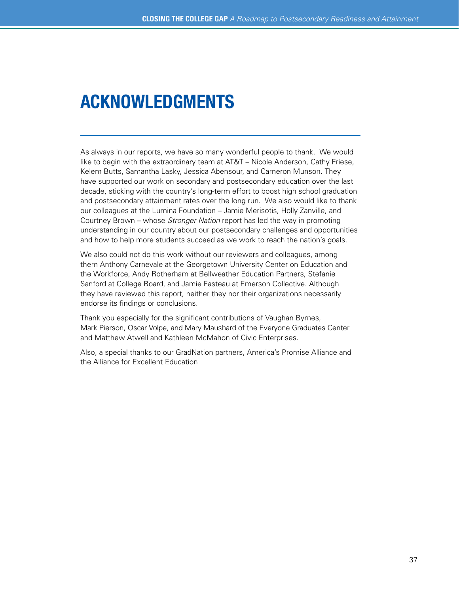# **ACKNOWLEDGMENTS**

As always in our reports, we have so many wonderful people to thank. We would like to begin with the extraordinary team at AT&T – Nicole Anderson, Cathy Friese, Kelem Butts, Samantha Lasky, Jessica Abensour, and Cameron Munson. They have supported our work on secondary and postsecondary education over the last decade, sticking with the country's long-term effort to boost high school graduation and postsecondary attainment rates over the long run. We also would like to thank our colleagues at the Lumina Foundation – Jamie Merisotis, Holly Zanville, and Courtney Brown – whose *Stronger Nation* report has led the way in promoting understanding in our country about our postsecondary challenges and opportunities and how to help more students succeed as we work to reach the nation's goals.

We also could not do this work without our reviewers and colleagues, among them Anthony Carnevale at the Georgetown University Center on Education and the Workforce, Andy Rotherham at Bellweather Education Partners, Stefanie Sanford at College Board, and Jamie Fasteau at Emerson Collective. Although they have reviewed this report, neither they nor their organizations necessarily endorse its findings or conclusions.

Thank you especially for the significant contributions of Vaughan Byrnes, Mark Pierson, Oscar Volpe, and Mary Maushard of the Everyone Graduates Center and Matthew Atwell and Kathleen McMahon of Civic Enterprises.

Also, a special thanks to our GradNation partners, America's Promise Alliance and the Alliance for Excellent Education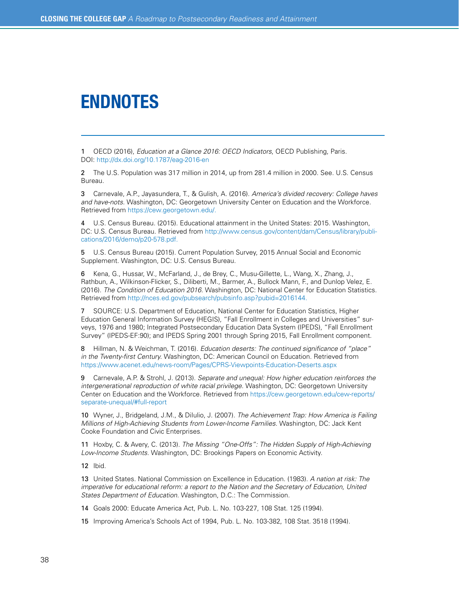## **ENDNOTES**

1 OECD (2016), *Education at a Glance 2016: OECD Indicators*, OECD Publishing, Paris. DOI:<http://dx.doi.org/10.1787/eag-2016-en>

2 The U.S. Population was 317 million in 2014, up from 281.4 million in 2000. See. U.S. Census Bureau.

3 Carnevale, A.P., Jayasundera, T., & Gulish, A. (2016). *America's divided recovery: College haves and have-nots.* Washington, DC: Georgetown University Center on Education and the Workforce. Retrieved from https://cew.georgetown.edu/.

4 U.S. Census Bureau. (2015). Educational attainment in the United States: 2015. Washington, DC: U.S. Census Bureau. Retrieved from http://www.census.gov/content/dam/Census/library/publications/2016/demo/p20-578.pdf.

5 U.S. Census Bureau (2015). Current Population Survey, 2015 Annual Social and Economic Supplement. Washington, DC: U.S. Census Bureau.

6 Kena, G., Hussar, W., McFarland, J., de Brey, C., Musu-Gillette, L., Wang, X., Zhang, J., Rathbun, A., Wilkinson-Flicker, S., Diliberti, M., Barmer, A., Bullock Mann, F., and Dunlop Velez, E. (2016). *The Condition of Education 2016.* Washington, DC: National Center for Education Statistics. Retrieved from http://nces.ed.gov/pubsearch/pubsinfo.asp?pubid=2016144.

7 SOURCE: U.S. Department of Education, National Center for Education Statistics, Higher Education General Information Survey (HEGIS), "Fall Enrollment in Colleges and Universities" surveys, 1976 and 1980; Integrated Postsecondary Education Data System (IPEDS), "Fall Enrollment Survey" (IPEDS-EF:90); and IPEDS Spring 2001 through Spring 2015, Fall Enrollment component.

8 Hillman, N. & Weichman, T. (2016). *Education deserts: The continued significance of "place" in the Twenty-first Century.* Washington, DC: American Council on Education. Retrieved from <https://www.acenet.edu/news-room/Pages/CPRS-Viewpoints-Education-Deserts.aspx>

9 Carnevale, A.P. & Strohl, J. (2013). *Separate and unequal: How higher education reinforces the intergenerational reproduction of white racial privilege.* Washington, DC: Georgetown University Center on Education and the Workforce. Retrieved from https://cew.georgetown.edu/cew-reports/ separate-unequal/#full-report

10 Wyner, J., Bridgeland, J.M., & DiIulio, J. (2007). *The Achievement Trap: How America is Failing Millions of High-Achieving Students from Lower-Income Families.* Washington, DC: Jack Kent Cooke Foundation and Civic Enterprises.

11 Hoxby, C. & Avery, C. (2013). *The Missing "One-Offs": The Hidden Supply of High-Achieving Low-Income Students.* Washington, DC: Brookings Papers on Economic Activity.

12 Ibid.

13 United States. National Commission on Excellence in Education. (1983). *A nation at risk: The imperative for educational reform: a report to the Nation and the Secretary of Education, United States Department of Education.* Washington, D.C.: The Commission.

14 Goals 2000: Educate America Act, Pub. L. No. 103-227, 108 Stat. 125 (1994).

15 Improving America's Schools Act of 1994, Pub. L. No. 103-382, 108 Stat. 3518 (1994).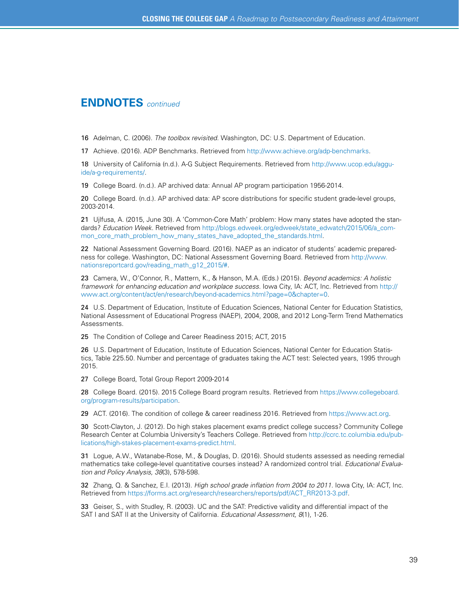## **ENDNOTES** *continued*

16 Adelman, C. (2006). *The toolbox revisited.* Washington, DC: U.S. Department of Education.

17 Achieve. (2016). ADP Benchmarks. Retrieved from http://www.achieve.org/adp-benchmarks.

18 University of California (n.d.). A-G Subject Requirements. Retrieved from http://www.ucop.edu/agguide/a-g-requirements/.

19 College Board. (n.d.). AP archived data: Annual AP program participation 1956-2014.

20 College Board. (n.d.). AP archived data: AP score distributions for specific student grade-level groups, 2003-2014.

21 Ujlfusa, A. (2015, June 30). A 'Common-Core Math' problem: How many states have adopted the standards? *Education Week.* Retrieved from http://blogs.edweek.org/edweek/state\_edwatch/2015/06/a\_common\_core\_math\_problem\_how\_many\_states\_have\_adopted\_the\_standards.html.

22 National Assessment Governing Board. (2016). NAEP as an indicator of students' academic preparedness for college. Washington, DC: National Assessment Governing Board. Retrieved from http://www. nationsreportcard.gov/reading\_math\_g12\_2015/#.

23 Camera, W., O'Connor, R., Mattern, K., & Hanson, M.A. (Eds.) (2015). *Beyond academics: A holistic framework for enhancing education and workplace success.* Iowa City, IA: ACT, Inc. Retrieved from http:// www.act.org/content/act/en/research/beyond-academics.html?page=0&chapter=0.

24 U.S. Department of Education, Institute of Education Sciences, National Center for Education Statistics, National Assessment of Educational Progress (NAEP), 2004, 2008, and 2012 Long-Term Trend Mathematics Assessments.

25 The Condition of College and Career Readiness 2015; ACT, 2015

26 U.S. Department of Education, Institute of Education Sciences, National Center for Education Statistics, Table 225.50. Number and percentage of graduates taking the ACT test: Selected years, 1995 through 2015.

27 College Board, Total Group Report 2009-2014

28 College Board. (2015). 2015 College Board program results. Retrieved from https://www.collegeboard. org/program-results/participation.

29 ACT. (2016). The condition of college & career readiness 2016. Retrieved from https://www.act.org.

30 Scott-Clayton, J. (2012). Do high stakes placement exams predict college success? Community College Research Center at Columbia University's Teachers College. Retrieved from http://ccrc.tc.columbia.edu/publications/high-stakes-placement-exams-predict.html.

31 Logue, A.W., Watanabe-Rose, M., & Douglas, D. (2016). Should students assessed as needing remedial mathematics take college-level quantitative courses instead? A randomized control trial. *Educational Evaluation and Policy Analysis, 38*(3), 578-598.

32 Zhang, Q. & Sanchez, E.I. (2013). *High school grade inflation from 2004 to 2011.* Iowa City, IA: ACT, Inc. Retrieved from https://forms.act.org/research/researchers/reports/pdf/ACT\_RR2013-3.pdf.

33 Geiser, S., with Studley, R. (2003). UC and the SAT: Predictive validity and differential impact of the SAT I and SAT II at the University of California. *Educational Assessment, 8*(1), 1-26.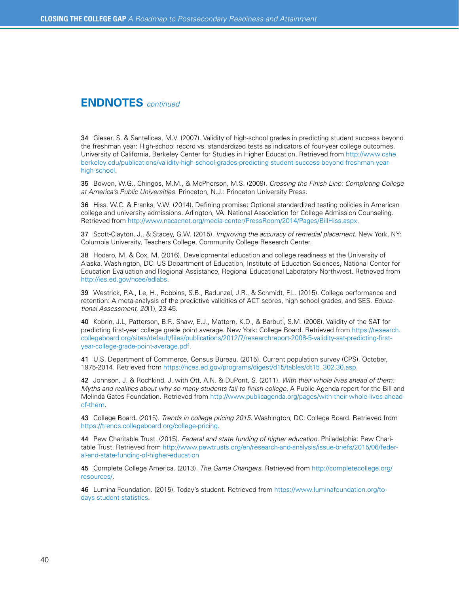## **ENDNOTES** *continued*

34 Gieser, S. & Santelices, M.V. (2007). Validity of high-school grades in predicting student success beyond the freshman year: High-school record vs. standardized tests as indicators of four-year college outcomes. University of California, Berkeley Center for Studies in Higher Education. Retrieved from http://www.cshe. berkeley.edu/publications/validity-high-school-grades-predicting-student-success-beyond-freshman-yearhigh-school.

35 Bowen, W.G., Chingos, M.M., & McPherson, M.S. (2009). *Crossing the Finish Line: Completing College at America's Public Universities.* Princeton, N.J.: Princeton University Press.

36 Hiss, W.C. & Franks, V.W. (2014). Defining promise: Optional standardized testing policies in American college and university admissions. Arlington, VA: National Association for College Admission Counseling. Retrieved from http://www.nacacnet.org/media-center/PressRoom/2014/Pages/BillHiss.aspx.

37 Scott-Clayton, J., & Stacey, G.W. (2015). *Improving the accuracy of remedial placement.* New York, NY: Columbia University, Teachers College, Community College Research Center.

38 Hodaro, M. & Cox, M. (2016). Developmental education and college readiness at the University of Alaska. Washington, DC: US Department of Education, Institute of Education Sciences, National Center for Education Evaluation and Regional Assistance, Regional Educational Laboratory Northwest. Retrieved from http://ies.ed.gov/ncee/edlabs.

39 Westrick, P.A., Le, H., Robbins, S.B., Radunzel, J.R., & Schmidt, F.L. (2015). College performance and retention: A meta-analysis of the predictive validities of ACT scores, high school grades, and SES. *Educational Assessment, 20*(1), 23-45.

40 Kobrin, J.L, Patterson, B.F., Shaw, E.J., Mattern, K.D., & Barbuti, S.M. (2008). Validity of the SAT for predicting first-year college grade point average. New York: College Board. Retrieved from https://research. collegeboard.org/sites/default/files/publications/2012/7/researchreport-2008-5-validity-sat-predicting-firstyear-college-grade-point-average.pdf.

41 U.S. Department of Commerce, Census Bureau. (2015). Current population survey (CPS), October, 1975-2014. Retrieved from https://nces.ed.gov/programs/digest/d15/tables/dt15\_302.30.asp.

42 Johnson, J. & Rochkind, J. with Ott, A.N. & DuPont, S. (2011). *With their whole lives ahead of them: Myths and realities about why so many students fail to finish college.* A Public Agenda report for the Bill and Melinda Gates Foundation. Retrieved from http://www.publicagenda.org/pages/with-their-whole-lives-aheadof-them.

43 College Board. (2015). *Trends in college pricing 2015.* Washington, DC: College Board. Retrieved from https://trends.collegeboard.org/college-pricing.

44 Pew Charitable Trust. (2015). *Federal and state funding of higher education.* Philadelphia: Pew Charitable Trust. Retrieved from [http://www.pewtrusts.org/en/research-and-analysis/issue-briefs/2015/06/feder](http://www.pewtrusts.org/en/research-and-analysis/issue-briefs/2015/06/federal-and-state-funding-of-higher-education)[al-and-state-funding-of-higher-education](http://www.pewtrusts.org/en/research-and-analysis/issue-briefs/2015/06/federal-and-state-funding-of-higher-education)

45 Complete College America. (2013). *The Game Changers.* Retrieved from http://completecollege.org/ resources/.

46 Lumina Foundation. (2015). Today's student. Retrieved from https://www.luminafoundation.org/todays-student-statistics.